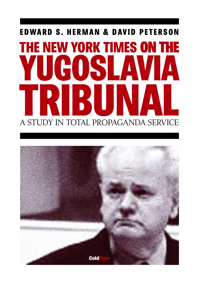# EDWARD S. HERMAN & DAVID PETERSON THE NEW YORK TIMES ON THE IGOSL A STUDY IN TOTAL PROPAGANDA SERVICE

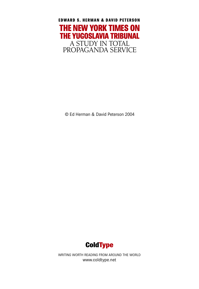

© Ed Herman & David Peterson 2004



WRITING WORTH READING FROM AROUND THE WORLD www.coldtype.net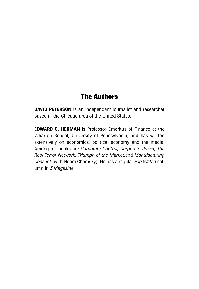### The Authors

**DAVID PETERSON** is an independent journalist and researcher based in the Chicago area of the United States.

**EDWARD S. HERMAN** is Professor Emeritus of Finance at the Wharton School, University of Pennsylvania, and has written extensively on economics, political economy and the media. Among his books are *Corporate Control, Corporate Power, The Real Terror Network, Triumph of the Market,*and *Manufacturing Consent* (with Noam Chomsky). He has a regular *Fog Watch* column in *Z Magazine.*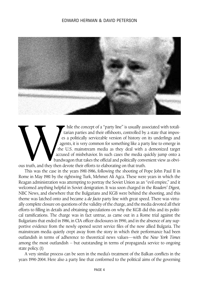

hile the concept of a "party line" is usually associated with totalitarian parties and their offshoots, controlled by a state that imposes a politically serviceable version of history on its underlings and agents, it is very common for something like a party line to emerge in the U.S. mainstream media as they deal with a demonized target accused of misbehavior. In such cases the media quickly jump onto a bandwagon that takes the official and politically convenient view as obvious truth, and they then devote their efforts to elaborating on that truth.

This was the case in the years 1981-1986, following the shooting of Pope John Paul II in Rome in May 1981 by the rightwing Turk, Mehmet Ali Agca. These were years in which the Reagan administration was attempting to portray the Soviet Union as an "evil empire," and it welcomed anything helpful in Soviet denigration. It was soon charged in the *Readers' Digest,* NBC News, and elsewhere that the Bulgarians and KGB were behind the shooting, and this theme was latched onto and became a *de facto* party line with great speed. There was virtually complete closure on questions of the validity of the charge, and the media devoted all their efforts to filling in details and obtaining speculations on why the KGB did this and its political ramifications. The charge was in fact untrue, as came out in a Rome trial against the Bulgarians that ended in 1986, in CIA officer disclosures in 1990, and in the absence of any supportive evidence from the newly opened secret service files of the now allied Bulgaria. The mainstream media quietly crept away from the story in which their performance had been outlandish in terms of adherence to theoretical news values—with the *New York Times* among the most outlandish – but outstanding in terms of propaganda service to ongoing state policy. (1)

A very similar process can be seen in the media's treatment of the Balkan conflicts in the years 1990-2004. Here also a party line that conformed to the political aims of the governing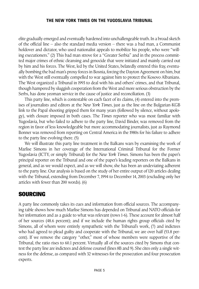elite gradually emerged and eventually hardened into unchallengeable truth.In a broad sketch of the official line – also the standard media version – there was a bad man, a Communist holdover and dictator, who used nationalist appeals to mobilize his people, who were "willing executioners." (2) This bad man strove for a "Greater Serbia" and in the process committed major crimes of ethnic cleansing and genocide that were initiated and mainly carried out by him and his forces. The West, led by the United States, belatedly entered this fray, eventually bombing the bad man's proxy forces in Bosnia, forcing the Dayton Agreement on him, but with the West still eventually compelled to war against him to protect the Kosovo Albanians. The West organized a Tribunal in 1993 to deal with his and others' crimes, and that Tribunal, though hampered by sluggish cooperation from the West and more serious obstruction by the Serbs, has done yeoman service in the cause of justice and reconciliation. (3)

This party line, which is contestable on each facet of its claims, (4) entered into the premises of journalists and editors at the *New York Times*, just as the line on the Bulgarian-KGB link to the Papal shooting gripped them for many years (followed by silence, without apology), with closure imposed in both cases. The *Times* reporter who was most familiar with Yugoslavia, but who failed to adhere to the party line, David Binder, was removed from the region in favor of less knowledgeable but more accommodating journalists, just as Raymond Bonner was removed from reporting on Central America in the 1980s for his failure to adhere to the party line evolving there. (5)

We will illustrate this party line treatment in the Balkans wars by examining the work of Marlise Simons in her coverage of the International Criminal Tribunal for the Former Yugoslavia (ICTY, or simply Tribunal) for the *New York Times*. Simons has been the paper's principal reporter on the Tribunal and one of the paper's leading reporters on the Balkans in general, and as we would expect, and as we will show, she has been an undeviating adherent to the party line. Our analysis is based on the study of her entire output of 120 articles dealing with the Tribunal, extending from December 7, 1994 to December 14, 2003 (excluding only her articles with fewer than 200 words). (6)

#### SOURCING

A party line commonly takes its cues and information from official sources. The accompanying table shows how much Marlise Simons has depended on Tribunal and NATO officials for her information and as a guide to what was relevant (rows 1-6). These account for almost half of her sources (48.6 percent); and if we include the human rights group officials cited by Simons, all of whom were entirely sympathetic with the Tribunal's work, (7) and indictees who had agreed to plead guilty and cooperate with the Tribunal, we are over half (53.8 percent). If we remove the category "other," most of whose members were supportive of the Tribunal, the ratio rises to 60.1 percent. Virtually all of the sources cited by Simons that contest the party line are indictees and defense counsel (lines 8B and 9). She cites only a single witness for the defense, as compared with 32 witnesses for the prosecution and four prosecution experts.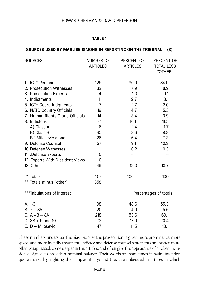#### **TABLE 1**

#### **SOURCES USED BY MARLISE SIMONS IN REPORTING ON THE TRIBUNAL (8)**

| <b>SOURCES</b>                   | <b>NUMBER OF</b><br><b>ARTICLES</b> | PERCENT OF<br><b>ARTICLES</b> | PERCENT OF<br>TOTAL LESS<br>"OTHER" |
|----------------------------------|-------------------------------------|-------------------------------|-------------------------------------|
| 1. ICTY Personnel                | 125                                 | 30.9                          | 34.9                                |
| 2. Prosecution Witnesses         | 32                                  | 7.9                           | 8.9                                 |
| 3. Prosecution Experts           | 4                                   | 1.0                           | 1.1                                 |
| 4. Indictments                   | 11                                  | 2.7                           | 3.1                                 |
| 5. ICTY Court Judgments          | $\overline{7}$                      | 1.7                           | 2.0                                 |
| 6. NATO Country Officials        | 19                                  | 4.7                           | 5.3                                 |
| 7. Human Rights Group Officials  | 14                                  | 3.4                           | 3.9                                 |
| 8. Indictees                     | 41                                  | 10.1                          | 11.5                                |
| A) Class A                       | 6                                   | 1.4                           | 1.7                                 |
| B) Class B                       | 35                                  | 8.6                           | 9.8                                 |
| <b>B-1 Milosevic alone</b>       | 26                                  | 6.4                           | 7.3                                 |
| 9. Defense Counsel               | 37                                  | 9.1                           | 10.3                                |
| 10 Defense Witnesses             | $\mathbf{1}$                        | 0.2                           | 0.3                                 |
| 11. .Defense Experts             | $\Omega$                            |                               |                                     |
| 12. Experts With Dissident Views | $\mathbf{0}$                        |                               |                                     |
| 13. Other                        | 49                                  | 12.0                          | 13.7                                |
| * Totals:                        | 407                                 | 100                           | 100                                 |
| ** Totals minus "other"          | 358                                 |                               |                                     |
| ***Tabulations of interest       |                                     | Percentages of totals         |                                     |
| A. 1-6                           | 198                                 | 48.6                          | 55.3                                |
| $B.7 + 8A$                       | 20                                  | 4.9                           | 5.6                                 |
| $C. A + B - 8A$                  | 218                                 | 53.6                          | 60.1                                |
| D. $8B + 9$ and 10               | 73                                  | 17.9                          | 20.4                                |
| E. D - Milosevic                 | 47                                  | 11.5                          | 13.1                                |

These numbers understate the bias, because the prosecution is given more prominence, more space, and more friendly treatment. Indictee and defense counsel statements are briefer, more often paraphrased, come deeper in the articles, and often give the appearance of a token inclusion designed to provide a nominal balance. Their words are sometimes in satire-intended quote marks highlighting their implausibility; and they are imbedded in articles in which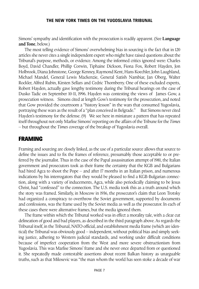Simons' sympathy and identification with the prosecution is readily apparent. (See **Language and Tone**, below.)

The most telling evidence of Simons' overwhelming bias in sourcing is the fact that in 120 articles she never cites a single independent expert who might have raised questions about the Tribunal's purpose, methods, or evidence. Among the informed critics ignored were: Charles Boyd, David Chandler, Phillip Corwin, Tiphaine Dickson, Fiona Fox, Robert Hayden, Jon Holbrook, Diana Johnstone, George Kenney, Raymond Kent, Hans Koechler, John Laughland, Michael Mandel, General Lewis Mackenzie, General Satish Nambiar, Jan Oberg, Walter Rockler, Alfred Rubin, Kirsten Sellars and Cedric Thornberry. One of these excluded experts, Robert Hayden, actually gave lengthy testimony during the Tribunal hearings on the case of Dusko Tadic on September 10-11, 1996. Hayden was contesting the views of James Gow, a prosecution witness. Simons cited at length Gow's testimony for the prosecution, and noted that Gow provided the courtroom a "history lesson" in the wars that consumed Yugoslavia, portraying these wars as the result of a "plan conceived in Belgrade." But Simons never cited Hayden's testimony for the defense. (9) We see here in miniature a pattern that has repeated itself throughout not only Marlise Simons' reporting on the affairs of the Tribune for the *Times* – but throughout the *Times* coverage of the breakup of Yugoslavia overall.

#### FRAMING

Framing and sourcing are closely linked, as the use of a particular source allows that source to define the issues and to fix the frames of reference, presumably those acceptable to or preferred by the journalist. Thus in the case of the Papal assassination attempt of 1981, the Italian government and prosecutors took as their frame the certainty that the KGB and Bulgarians had hired Agca to shoot the Pope – and after 17 months in an Italian prison, and numerous indications by his interrogators that they would be pleased to find a KGB-Bulgarian connection, along with a variety of inducements, Agca, while also periodically claiming to be Jesus Christ, had "confessed" to the connection. The U.S. media took this as a truth around which the story was framed. Similarly, in Moscow in 1936, the prosecutor's claim that Leon Trotsky had organized a conspiracy to overthrow the Soviet government, supported by documents and confessions, was the frame used by the Soviet media as well as the prosecutor. In each of these cases there were alternative frames, but the media ignored them.

The frame within which the Tribunal worked was in effect a morality tale, with a clear cut delineation of good and bad players, as described in the third paragraph above. As regards the Tribunal itself, in the Tribunal, NATO official, and establishment media frame (which are identical) the Tribunal was obviously good – independent, without political bias and simply seeking justice, adhering to Western judicial standards, and working under difficult conditions because of imperfect cooperation from the West and more severe obstructionism from Yugoslavia. This was Marlise Simons' frame and she never once departed from or questioned it. She repeatedly made contestable assertions about recent Balkan history as unarguable truths, such as that Milosevic was "the man whom the world has seen stoke a decade of war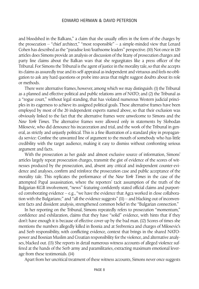and bloodshed in the Balkans," a claim that she usually offers in the form of the charges by the prosecution – "chief architect," "most responsible" – a simple-minded view that Lenard Cohen has described as the "paradise lost/loathsome leaders" perspective. (10) Not once in 120 articles does Simons provide an analysis or discussion of the litany of prosecution charges and party line claims about the Balkan wars that she regurgitates like a press officer of the Tribunal.For Simons the Tribunal is the agent of justice in the morality tale,so that she accepts its claims as assuredly true and its self-appraisal as independent and virtuous and feels no obligation to ask any hard questions or probe into areas that might suggest doubts about its role or methods.

There were alternative frames, however, among which we may distinguish: (1) the Tribunal as a planned and effective political and public relations arm of NATO; and (2) the Tribunal as a "rogue court," without legal standing, that has violated numerous Western judicial principles in its eagerness to achieve its assigned political goals. These alternative frames have been employed by most of the 20 independent experts named above, so that their exclusion was obviously linked to the fact that the alternative frames were unwelcome to Simons and the *New York Times.* The alternative frames were allowed only in statements by Slobodan Milosevic, who did denounce his incarceration and trial, and the work of the Tribunal in general, as strictly and unjustly political. This is a fine illustration of a standard ploy in propaganda service: Confine the unwanted line of argument to the mouth of somebody who has little credibility with the target audience, making it easy to dismiss without confronting serious argument and facts.

With the prosecution as her guide and almost exclusive source of information, Simons' articles largely repeat prosecution charges, transmit the gist of evidence of the scores of witnesses produced by the prosecution, and, absent any critical and independent counter-evidence and analyses, confirm and reinforce the prosecution case and public acceptance of the morality tale. This replicates the performance of the *New York Times* in the case of the attempted Papal assassination, where the reporters' tacit assumption of the truth of the Bulgarian-KGB involvement, "news" featuring confidently stated official claims and purported corroborating evidence – e.g., "we have the evidence that Agca worked in close collaboration with the Bulgarians;" and "all the evidence suggests" (11) – and blacking out of inconvenient facts and dissident analysis, strengthened common belief in the "Bulgarian connection."

In her reporting on the Tribunal, Simons repeatedly refers to prosecution "momentum," confidence and exhilaration, claims that they have "solid" evidence, with hints that if they don't have enough it is because of effective cover-up by the bad man. (12) Scores of times she mentions the numbers allegedly killed in Bosnia and at Srebrenica and charges of Milosevic's and Serb responsibility, with conflicting evidence, context that brings in the shared NATOpower and Bosnian Muslim and Croatian responsibility for the violence, and alternative analyses, blacked out. (13) She reports in detail numerous witness accounts of alleged violence suffered at the hands of the Serb army and paramilitaries, extracting maximum emotional leverage from these testimonials. (14)

Apart from her uncritical treatment of these witness accounts, Simons never once suggests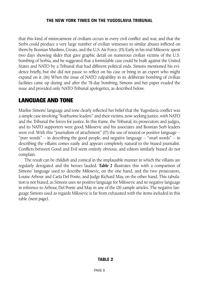that this kind of mistreatment of civilians occurs in every civil conflict and war, and that the Serbs could produce a very large number of civilian witnesses to similar abuses inflicted on them by Bosnian Muslims, Croats, and the U.S. Air Force. (15) Early in his trial Milosevic spent two days showing slides that gave graphic detail on numerous civilian victims of the U.S. bombing of Serbia, and he suggested that a formidable case could be built against the United States and NATO by a Tribunal that had different political ends. Simons mentioned his evidence briefly, but she did not pause to reflect on his case or bring in an expert who might expand on it. (16) When the issue of NATO culpability in its deliberate bombing of civilian facilities came up during and after the 78-day bombing, Simons and her paper evaded the issue and provided only NATO-Tribunal apologetics, as described below.

#### LANGUAGE AND TONE

Marlise Simons' language and tone clearly reflected her belief that the Yugoslavia conflict was a simple case involving "loathsome leaders" and their victims, now seeking justice, with NATO and the Tribunal the forces for justice. In this frame, the Tribunal, its prosecutors and judges, and its NATO supporters were good; Milosevic and his associates and Bosnian Serb leaders were evil. With this "journalism of attachment" (17) the use of neutral or positive language – "purr words" – in describing the good people, and negative language – "snarl words" – in describing the villains comes easily and appears completely natural to the biased journalist. Conflicts between Good and Evil seem entirely obvious; and editors similarly biased do not complain.

The result can be childish and comical in the implausible manner in which the villains are regularly derogated and the heroes lauded. **Table 2** illustrates this with a comparison of Simons' language used to describe Milosevic, on the one hand, and the two prosecutors, Louise Arbour and Carla Del Ponte, and Judge Richard May, on the other hand. This tabulation is not biased, as Simons uses *no* positive language for Milosevic and *no* negative language in reference to Arbour, Del Ponte and May in any of the 120 sample articles. The negative language Simons used as regards Milosevic is far from exhausted with the items included in this table *(next page)*.

#### **TABLE 2**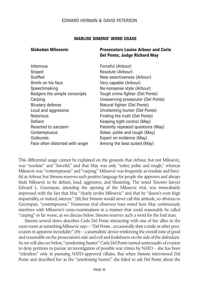#### **MARLISE SIMONS' WORD USAGE**

#### **Slobodan Milosevic Prosecutors Louise Arbour and Carla Del Ponte; Judge Richard May**

Forceful (Arbour) Resolute (Arbour) New assertiveness (Arbour) Very capable (Arbour) No-nonsense style (Arbour) Tough crime fighter (Del Ponte) Unswerving prosecutor (Del Ponte) Natural fighter (Del Ponte) Unrelenting hunter (Del Ponte) Finding the truth (Del Ponte) Keeping tight control (May) Patiently repeated questions (May) Sober, polite and tough (May) Expert on evidence (May) Among the best suited (May)

This differential usage cannot be explained on the grounds that Arbour, but not Milosevic, was "resolute" and "forceful," and that May was only "sober, polite and tough," whereas Milosevic was "contemptuous" and "carping." Milosevic was frequently as resolute and forceful as Arbour, but Simons reserves such positive language for people she approves and always finds Milosevic to be defiant, loud, aggressive, and blustering. The noted Toronto lawyer Edward L. Greenspan, attending the opening of the Milosevic trial, was immediately impressed with the fact that May "clearly reviles Milosevic" and that he "doesn't even feign impartiality, or indeed, interest." (18) But Simons would never call this attitude, so obvious to Greenspan, "contemptuous." Numerous trial observers have noted how May continuously interferes with Milosevic's cross-examinations in a manner that could reasonably be called "carping" or far worse, as we discuss below. Simons reserves such a word for the bad man.

Simons several times describes Carla Del Ponte interacting with one of her allies in the court room at something Milosevic says – "Del Ponte...occasionally shot a smile at other prosecutors in apparent incredulity" (19) – a journalistic device reinforcing the overall tone of good and reasonable on the prosecution's side and evil and foolishness on the side of the defendant. As we will also see below, "unrelenting hunter" Carla Del Ponte turned somersaults of evasion to deny petitions to pursue an investigation of possible war crimes by NATO – she has been "relentless" only in pursuing NATO-approved villains. But when Simons interviewed Del Ponte and described her as the "unrelenting hunter," she failed to ask Del Ponte about the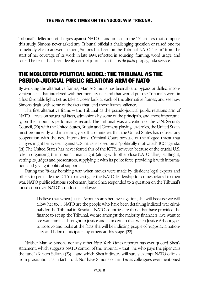Tribunal's deflection of charges against NATO – and in fact, in the 120 articles that comprise this study, Simons never asked any Tribunal official a challenging question or raised one for somebody else to answer. In short, Simons has been on the Tribunal-NATO "team" from the start of her coverage of its work in late 1994, reflected in sourcing, framing, word usage, and tone. The result has been deeply corrupt journalism that is *de facto* propaganda service.

#### THE NEGLECTED POLITICAL MODEL: THE TRIBUNAL AS THE PSEUDO-JUDICIAL PUBLIC RELATIONS ARM OF NATO

By avoiding the alternative frames, Marlise Simons has been able to bypass or deflect inconvenient facts that interfered with her morality tale and that would put the Tribunal's work in a less favorable light. Let us take a closer look at each of the alternative frames, and see how Simons dealt with some of the facts that lend those frames salience.

The first alternative frame – the Tribunal as the pseudo-judicial public relations arm of NATO – rests on structural facts, admissions by some of the principals, and, most importantly, on the Tribunal's performance record. The Tribunal was a creation of the U.N. Security Council, (20) with the United States, Britain and Germany playing lead roles, the United States most prominently and increasingly so. It is of interest that the United States has refused any cooperation with the new International Criminal Court because of the alleged threat that charges might be leveled against U.S. citizens based on a "politically motivated" ICC agenda. (21) The United States has never feared this of the ICTY, however, because of the crucial U.S. role in organizing the Tribunal, financing it (along with other close NATO allies), staffing it, vetting its judges and prosecutors, supplying it with its police force, providing it with information, and giving it political support.

During the 78-day bombing war, when moves were made by dissident legal experts and others to persuade the ICTY to investigate the NATO leadership for crimes related to their war, NATO public relations spokesman Jamie Shea responded to a question on the Tribunal's jurisdiction over NATO's conduct as follows:

> I believe that when Justice Arbour starts her investigation, she will because we will allow her to….NATO are the people who have been detaining indicted war criminals for the Tribunal in Bosnia…NATO countries are those that have provided the finance to set up the Tribunal, we are amongst the majority financiers...we want to see war criminals brought to justice and I am certain that when Justice Arbour goes to Kosovo and looks at the facts she will be indicting people of Yugoslavia nationality and I don't anticipate any others at this stage. (22)

Neither Marlise Simons nor any other *New York Times* reporter has ever quoted Shea's statement, which suggests NATO control of the Tribunal – that "he who pays the piper calls the tune" (Kirsten Sellars) (23) – and which Shea indicates will surely exempt NATO officials from prosecution, as in fact it did. Nor have Simons or her *Times* colleagues ever mentioned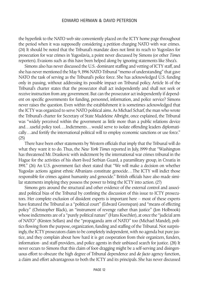the hyperlink to the NATO web site conveniently placed on the ICTY home page throughout the period when it was supposedly considering a petition charging NATO with war crimes. (24) It should be noted that the Tribunal's mandate does not limit its reach to Yugoslavs for prosecution for war crimes in Yugoslavia, a point never discussed by Simons (or other *Times* reporters). Evasions such as this have been helped along by ignoring statements like Shea's.

Simons also has never discussed the U.S.-dominant staffing and vetting of ICTY staff, and she has never mentioned the May 9, 1996 NATO-Tribunal "memo of understanding" that gave NATO the task of serving as the Tribunal's police force. She has acknowledged U.S. funding only in passing, without addressing its possible impact on Tribunal policy. Article 16 of the Tribunal's charter states that the prosecutor shall act independently and shall not seek or receive instruction from any government. But can the prosecutor act independently if dependent on specific governments for funding, personnel, information, and police service? Simons never raises the question. Even within the establishment it is sometimes acknowledged that the ICTY was organized to serve NATO political aims. As Michael Scharf, the man who wrote the Tribunal's charter for Secretary of State Madeleine Albright, once explained, the Tribunal was "widely perceived within the government as little more than a public relations device and…useful policy tool….Indictments…would serve to isolate offending leaders diplomatically…and fortify the international political will to employ economic sanctions or use force." (25)

There have been other statements by Western officials that imply that the Tribunal will do what they want it to do. Thus, the *New York Times* reported in July, 1999 that "Washington has threatened Mr. Draskovic with indictment by the international war crimes tribunal in the Hague for the activities of his short-lived Serbian Guard, a paramilitary group, in Croatia in 1991." (26) An U.S. government fact sheet stated that "We will make a decision on whether Yugoslav actions against ethnic Albanians constitute genocide...The ICTY will indict those responsible for crimes against humanity and genocide." British officials have also made similar statements implying they possess the power to bring the ICTY into action. (27)

Simons gets around the structural and other evidence of the external control and associated political bias of the Tribunal by confining the discussion of this issue to ICTY prosecutors. Her complete exclusion of dissident experts is important here – most of these experts have featured the Tribunal as a "political court" (Edward Greenspan) and "means of effecting policy" (Christopher Black), an "instrument of revenge rather than justice" (Jon Holbrook) whose indictments are of a "purely political nature" (Hans Koechler), at once the "judicial arm of NATO" (Kirsten Sellars) and the "propaganda arm of NATO" too (Michael Mandel), politics flowing from the purpose, organization, funding and staffing of the Tribunal. Not surprisingly, the ICTY prosecutors claim to be completely independent, with no agenda but pure justice, and they complain about how hard it is get cooperation from their organizers, funders, information- and staff-providers, and police agents in their unbiased search for justice. (28) It never occurs to Simons that this claim of foot-dragging might be a self-serving and disingenuous effort to obscure the high degree of Tribunal dependence and *de facto* agency function, a claim and effort advantageous to both the ICTY and its principals. She has never discussed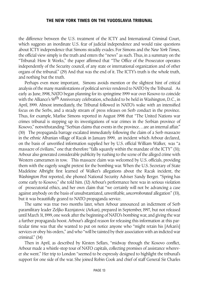the difference between the U.S. treatment of the ICTY and International Criminal Court, which suggests an inordinate U.S. fear of judicial independence and would raise questions about ICTY independence that Simons steadily evades. For Simons and the *New York Times*, the official view simply is the truth and enters the "news" as such. Thus, in a summary on the "Tribunal: How It Works," the paper affirmed that "The Office of the Prosecutor operates independently of the Security council, of any state or international organization and of other organs of the tribunal." (29) And that was the end of it. The ICTY's truth is the whole truth, and nothing but the truth.

Perhaps even more important, Simons avoids mention or the slightest hint of critical analysis of the many manifestations of political service rendered to NATO by the Tribunal. As early as June, 1998, NATO began planning for its springtime 1999 war over Kosovo to coincide with the Alliance's 50<sup>th</sup> Anniversary celebration, scheduled to be held in Washington, D.C., in April, 1999. Almost immediately, the Tribunal followed in NATO's wake with an intensified focus on the Serbs, and a steady stream of press releases on Serb conduct in the province. Thus, for example, Marlise Simons reported in August 1998 that "The United Nations war crimes tribunal is stepping up its investigations of war crimes in the Serbian province of Kosovo," notwithstanding "Serbian claims that events in the province...are an internal affair." (30) The propaganda barrage escalated immediately following the claim of a Serb massacre in the ethnic Albanian village of Racak in January 1999, an incident which Arbour declared, on the basis of unverified information supplied her by U.S. official William Walker, was "a massacre of civilians," one that therefore "falls squarely within the mandate of the ICTY" (31); Arbour also generated considerable publicity by rushing to the scene of the alleged crime with Western cameramen in tow. This massacre claim was welcomed by U.S. officials, providing them with the eagerly sought pretext for the bombing war. When the U.S. Secretary of State Madeleine Albright first learned of Walker's allegations about the Racak incident, the *Washington Post* reported, she phoned National Security Adviser Sandy Berger. "Spring has come early to Kosovo," she told him. (32) Arbour's performance here was in serious violation of prosecutorial ethics, and her own claim that "we certainly will not be advancing a case against anybody on the basis of unsubstantiated, unverifiable, *uncorroborated* allegation" (33), but it was beautifully geared to NATO propaganda service.

The same was true two months later, when Arbour announced an indictment of Serb paramilitary leader Zeljko Raznjatovic (Arkan), prepared in September, 1997, but not released until March 31, 1999, one week after the beginning of NATO's bombing war, and giving the war a further propaganda boost. Arbour's alleged reason for releasing this information at this particular time was that she wanted to put on notice anyone who "might retain his [Arkan's] services or obey his orders," and who "will be tainted by their association with an indicted war criminal." (34)

Then in April, as described by Kirsten Sellars, "midway through the Kosovo conflict, Arbour made a whistle-stop tour of NATO capitals, collecting promises of assistance wherever she went." Her trip to London "seemed to be expressly designed to highlight the tribunal's support for one side of the war. She joined Robin Cook and chief of staff General Sir Charles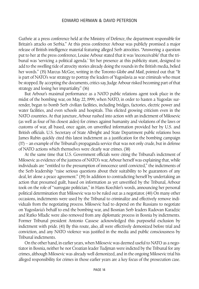Guthrie at a press conference held at the Ministry of Defence, the department responsible for Britain's attacks on Serbia." At this press conference Arbour was publicly promised a major release of British intelligence material featuring alleged Serb atrocities. "Answering a question put to her at the press conference, Louise Arbour stated that it was 'inconceivable' that the tribunal was 'servicing a political agenda.' Yet her presence at this publicity stunt, designed to add to the swelling tide of atrocity stories already doing the rounds in the British media, belied her words." (35) Marcus McGee, writing in the Toronto *Globe and Mail*, pointed out that "It is part of NATO's war strategy to portray the leaders of Yugoslavia as war criminals who must be stopped. By accepting the documents, critics say, Judge Arbour risked becoming part of that strategy and losing her impartiality." (36)

But Arbour's maximal performance as a NATO public relations agent took place in the midst of the bombing war, on May 22, 1999, when NATO, in order to hasten a Yugoslav surrender, began to bomb Serb civilian facilities, including bridges, factories, electric power and water facilities, and even schools and hospitals. This elicited growing criticism even in the NATO countries. At that juncture, Arbour rushed into action with an indictment of Milosevic (as well as four of his closest aides) for crimes against humanity and violations of the laws or customs of war, all based, once again, on unverified information provided her by U.S. and British officials. U.S. Secretary of State Albright and State Department public relations boss James Rubin quickly cited this latest indictment as a justification for the bombing campaign (37) – an example of the Tribunal's propaganda service that was not only crude, but in defense of NATO actions which themselves were clearly war crimes. (38)

At the same time that U.S. Government officials were citing the Tribunal's indictment of Milosevic as evidence of the justness of NATO's war, Arbour herself was explaining that, while individuals are "entitled to the presumption of innocence until convicted," the indictments of the Serb leadership "raise serious questions about their suitability to be guarantors of any deal, let alone a peace agreement." (39) In addition to contradicting herself by undertaking an action that presumed guilt, based on information as yet unverified by the Tribunal, Arbour took on the role of "surrogate politician," in Hans Koechler's words, announcing her personal political determination that Milosevic was to be ruled out as a negotiator. (40) On many other occasions, indictments were used by the Tribunal to criminalize and effectively remove individuals from the negotiating process. Milosevic had to depend on the Russians to negotiate on Yugoslavia's behalf to end the bombing war, and Bosnian Serb leaders Radovan Karadzic and Ratko Mladic were also removed from any diplomatic process in Bosnia by indictments. Former Tribunal president Antonio Cassese acknowledged this purposeful exclusion by indictment with pride. (41) By this route, also, all were effectively demonized before trial and conviction, and any NATO violence was justified in the media and public consciousness by Tribunal indictments.

On the other hand, in earlier years, when Milosevic was deemed useful to NATO as a negotiator in Bosnia, neither he nor Croatian leader Tudjman were indicted by the Tribunal for any crimes, although Milosevic was already well demonized, and in the ongoing Milosevic trial his alleged responsibility for crimes in those earlier years are a key focus of the prosecution case.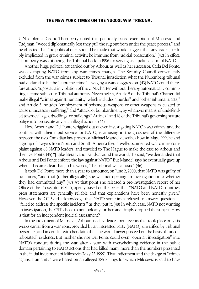U.N. diplomat Cedric Thornberry noted this politically based exemption of Milosevic and Tudjman, "wooed diplomatically lest they pull the rug out from under the peace process," and he objected that "no political offer should be made that would suggest that any leader, credibly implicated in grave criminal activity, be immune from judicial prosecution." (42) In effect, Thornberry was criticizing the Tribunal back in 1996 for serving as a political arm of NATO.

Another huge political act carried out by Arbour, as well as her successor, Carla Del Ponte, was exempting NATO from any war crimes charges. The Security Council conveniently excluded from the war crimes subject to Tribunal jurisdiction what the Nuremberg tribunal had declared to be the "supreme crime" – waging a war of aggression. (43) NATO could therefore attack Yugoslavia in violation of the U.N. Charter without thereby automatically committing a crime subject to Tribunal authority. Nevertheless, Article 5 of the Tribunal's Charter did make illegal "crimes against humanity," which includes "murder" and "other inhumane acts;" and Article 3 includes "employment of poisonous weapons or other weapons calculated to cause unnecessary suffering," and "attack, or bombardment, by whatever means, of undefended towns, villages, dwellings, or buildings." Articles 1 and 16 of the Tribunal's governing statute oblige it to prosecute any such illegal actions. (44)

How Arbour and Del Ponte wriggled out of even investigating NATO's war crimes, and the contrast with their rapid service for NATO, is amusing in the grossness of the difference between the two. Canadian law professor Michael Mandel describes how in May, 1999, he and a group of lawyers from North and South America filed a well-documented war crimes complaint against 68 NATO leaders, and traveled to The Hague to make the case to Arbour and then Del Ponte.(45) "[L]ike literally thousands around the world," he said,"we demanded that Arbour and Del Ponte enforce the law against NATO." But Mandel says he eventually gave up when it became clear that, in his words, "the tribunal was a hoax." (46)

It took Del Ponte more than a year to announce, on June 2, 2000, that NATO was guilty of no crimes, "and that (rather illogically) she was not opening an investigation into whether they had committed any." (47) At that point she released a pre-investigation report of her Office of the Prosecutor (OTP), openly based on the belief that "NATO and NATO countries' press statements are generally reliable and that explanations have been honestly given." However, the OTP did acknowledge that NATO sometimes refused to answer questions – "failed to address the specific incidents," as they put it. (48) In which case, NATO not wanting an investigation, the OTP chose to not look any further, and simply dropped the subject. How is that for an independent judicial assessment?

In the indictment of Milosevic, Arbour used evidence about events that took place only six weeks earlier from a war zone, provided by an interested party (NATO), unverified by Tribunal personnel, and in conflict with her claim that she would never proceed on the basis of "uncorroborated" evidence. But neither she nor Del Ponte could even "open an investigation" into NATO's conduct during the war, after a year, with overwhelming evidence in the public domain pertaining to NATO actions that had killed many more than the numbers presented in the initial indictment of Milosevic (May 22, 1999). That indictment and the charge of "crimes against humanity" were based on an alleged 385 killings for which Milosevic is said to have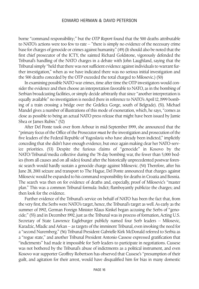borne "command responsibility;" but the *OTP Report* found that the 500 deaths attributable to NATO's actions were too few to rate – "there is simply no evidence of the necessary crime base for charges of genocide or crimes against humanity." (49) (It should also be noted that the first chief prosecutor of the ICTY, the sainted Richard Goldstone, vigorously defended the Tribunal's handling of the NATO charges in a debate with John Laughland, saying that the Tribunal simply "held that there was not sufficient evidence against individuals to warrant further investigation," when as we have indicated there was no serious initial investigation and the 500 deaths conceded by the OTP exceeded the total charged to Milosevic.) (50)

In examining possible NATO war crimes, time after time the OTP investigators would consider the evidence and then choose an interpretation favorable to NATO, as in the bombing of Serbian broadcasting facilities, or simply decide arbitrarily that since "another interpretation is equally available" no investigation is needed (here in reference to NATO's April 12, 1999 bombing of a train crossing a bridge over the Grdelica Gorge, south of Belgrade). (51). Michael Mandel gives a number of illustrations of this mode of exoneration, which, he says, "comes as close as possible to being an actual NATO press release that might have been issued by Jamie Shea or James Rubin." (52)

After Del Ponte took over from Arbour in mid-September 1999, she announced that the "primary focus of the Office of the Prosecutor *must be* the investigation and prosecution of the five leaders of the Federal Republic of Yugoslavia who have already been indicted," implicitly conceding that she didn't have enough evidence, but once again making clear her NATO-service priorities. (53) Despite the furious claims of "genocide" in Kosovo by the NATO/Tribunal/media collective during the 78-day bombing war, the fewer than 5,000 bodies (from all causes and on all sides) found after the historically unprecedented postwar forensic search would hardly sustain a genocide charge against Milosevic. (54) Therefore, after his June 28, 2001 seizure and transport to The Hague, Del Ponte announced that charges against Milosevic would be expanded to his command responsibility for deaths in Croatia and Bosnia. The search was then on for evidence of deaths and, especially, proof of Milosevic's "master plan." This was a common Tribunal formula: Indict; flamboyantly publicize the charges; and then look for the evidence.

Further evidence of the Tribunal's service on behalf of NATO has been the fact that, from the very first, the Serbs were NATO's target, hence, the Tribunal's target as well. As early as the summer of 1992, German Foreign Minister Klaus Kinkel began accusing the Serbs of "genocide;" (55) and in December 1992, just as the Tribunal was in process of formation, Acting U.S. Secretary of State Lawrence Eagleburger publicly named four Serb leaders – Milosevic, Karadzic, Mladic and Arkan – as targets of the imminent Tribunal, even invoking the need for a "second Nuremberg." (56) Tribunal President Gabrielle Kirk McDonald referred to Serbia as a "rogue state," and another Tribunal President Antonio Cassese expressed gratification that "indictments" had made it impossible for Serb leaders to participate in negotiations. Cassese was not bothered by the Tribunal's abuse of indictments as a political instrument, and even Kosovo war supporter Geoffrey Robertson has observed that Cassese's "presumption of their guilt, and agitation for their arrest, would have disqualified him for bias in many domestic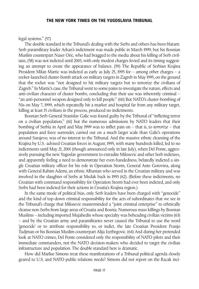#### legal systems." (57)

The double standard in the Tribunal's dealing with the Serbs and others has been blatant. Serb paramilitary leader Arkan's indictment was made public in March 1999, but his Bosnian Muslim counterpart Naser Oric, who had bragged to the media about his killing of Serb civilians, (58) was not indicted until 2003, with only modest charges levied and its timing suggesting an attempt to create the appearance of balance. (59) The Republic of Serbian Krajina President Milan Martic was indicted as early as July 25, 1995 for – among other charges – a rocket-launched cluster-bomb attack on military targets in Zagreb in May 1995, on the ground that the rocket was "not designed to hit military targets but to terrorize the civilians of Zagreb." In Martic's case, the Tribunal went to some pains to investigate the nature, effects and anti-civilian character of cluster bombs, concluding that their use was inherently criminal – "an anti-personnel weapon designed only to kill people." (60) But NATO's cluster-bombing of Nis on May 7, 1999, which repeatedly hit a market and hospital far from any military target, killing at least 15 civilians in the process, produced no indictments.

Bosnian Serb General Stanislav Galic was found guilty by the Tribunal of "inflicting terror on a civilian population," (61) but the numerous admissions by NATO leaders that their bombing of Serbia in April and May 1999 was to inflict pain on – that is, to *terrorize* – that population and force surrender, carried out on a much larger scale than Galic's operations around Sarajevo, was of no interest to the Tribunal. And the massive ethnic cleansing of the Krajina by U.S.-advised Croatian forces in August, 1995, with many hundreds killed, led to no indictments until May 21, 2001 (though announced only in late July), when Del Ponte, aggressively pursuing the new Yugoslav government to extradite Milosevic and other Serb indictees, and apparently feeling a need to demonstrate her even-handedness, belatedly indicted a single Croatian military officer for his role in Operation Storm, General Ante Gotovina, along with General Rahim Ademi, an ethnic Albanian who served in the Croatian military and was involved in the slaughter of Serbs at Medak back in 1993 (62). (Before these indictments, no Croatian with command responsibility for Operation Storm had ever been indicted, and only Serbs had been indicted for their actions in Croatia's Krajina region.)

In the same mode of political bias, only Serb leaders have been charged with "genocide" and the kind of top-down criminal responsibility for the acts of subordinates that we see in the Tribunal's charge that Milosevic masterminded a "joint criminal enterprise" to ethnically cleanse non-Serbs from large areas of Croatia and Bosnia. Numerous mass killings by Bosnian Muslims – including imported Mujahedin whose specialty was beheading civilian victims (63) – and by the Croatian army and paramilitaries never caused the Tribunal to use the word 'genocide' or to attribute responsibility to, or indict, the late Croatian President Franjo Tudjman or his Bosnian Muslim counterpart Alija Izetbegovic. (64) And during her pretended look at NATO crimes, Del Ponte considered only the responsibility of NATO pilots and their immediate commanders, not the NATO decision-makers who decided to target the civilian infrastructure and population. The double standard here is dramatic.

How did Marlise Simons treat these manifestations of a Tribunal political agenda closely geared to U.S. and NATO public relations needs? Simons did not report on the Racak inci-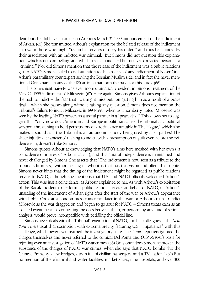dent, but she did have an article on Arbour's March 31, 1999 announcement of the indictment of Arkan. (65) She transmitted Arbour's explanation for the belated release of the indictment – to warn those who might "retain his services or obey his orders" and thus be "tainted by their association with an indicted war criminal." But Simons did not question this explanation, which is not compelling, and which treats an indicted but not-yet-convicted person as a "criminal." Nor did Simons mention that the release of the indictment was a public relations gift to NATO. Simons failed to call attention to the absence of any indictment of Naser Oric, Arkan's paramilitary counterpart serving the Bosnian Muslim side, and in fact she never mentioned Oric's name in any of the 120 articles that form the basis for this study. (66)

This convenient naiveté was even more dramatically evident in Simons' treatment of the May 22, 1999 indictment of Milosevic. (67) Here again, Simons gives Arbour's explanation of the rush to indict – the fear that "we might miss out" on getting him as a result of a peace deal – which she passes along without raising any question. Simons does not mention the Tribunal's failure to indict Milosevic in 1994-1995, when as Thornberry noted, Milosevic was seen by the leading NATO powers as a useful partner in a "peace deal." This allows her to suggest that "only now do…American and European politicians...use the tribunal as a political weapon, threatening to hold perpetrators of atrocities accountable in The Hague," which also makes it sound as if the Tribunal is an autonomous body being used by alien parties! The sheer injudicial character of rushing to indict, with a presumption of guilt even before the evidence is in, doesn't strike Simons.

Simons quotes Arbour acknowledging that NATO's aims here meshed with her own ("a coincidence of interests," Arbour calls it), and this aura of independence is maintained and never challenged by Simons. She asserts that "The indictment is now seen as a tribute to the tribunal's firmness," without telling us who it is that has this vision and offers this tribute. Simons never hints that the timing of the indictment might be regarded as public relations service to NATO, although she mentions that U.S. and NATO officials welcomed Arbour's action. This was just a coincidence, as Arbour explained to her. As with Arbour's exploitation of the Racak incident to perform a public relations service on behalf of NATO, or Arbour's unsealing of the indictment of Arkan right after the start of the war, or Arbour's appearance with Robin Cook at a London press conference later in the war, or Arbour's rush to indict Milosevic as the war dragged on and began to go sour for NATO – Simons treats each as an isolated event, because connecting the dots between them, or performing any kind of serious analysis, would prove incompatible with peddling the official line.

Simons never deals with the Tribunal's exemption of NATO, and her colleagues at the *New York Times* treat that exemption with extreme brevity, featuring U.S. "impatience" with this challenge, which never even reached the investigatory state. The *Times* reporters ignored the charges themselves and never referred to the comical Del Ponte and *OTP Report's* basis for rejecting even an investigation of NATO war crimes. (68) Only once does Simons approach the substance of the charges of NATO war crimes, when she says that NATO bombs "hit the Chinese Embassy, a few bridges, a train full of civilian passengers, and a TV station." (69) But no mention of the electrical and water facilities, marketplaces, nine hospitals, and over 300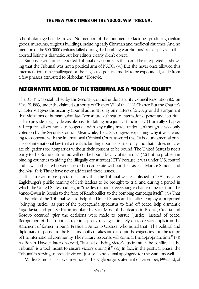schools damaged or destroyed. No mention of the innumerable factories producing civilian goods, museums, religious buildings, including early Christian and medieval churches. And no mention of the 500-3000 civilians killed during the bombing war. Simons' bias displayed in this aborted listing is dramatic, but her editors clearly didn't object.

Simons several times reported Tribunal developments that could be interpreted as showing that the Tribunal was not a political arm of NATO. (70) But she never once allowed this interpretation to be challenged or the neglected political model to be expounded, aside from a few phrases attributed to Slobodan Milosevic.

#### ALTERNATIVE MODEL OF THE TRIBUNAL AS A "ROGUE COURT"

The ICTY was established by the Security Council under Security Council Resolution 827 on May 25, 1993, under the claimed authority of Chapter VII of the U.N. Charter. But the Charter's Chapter VII gives the Security Council authority only on matters of *security*,and the argument that violations of humanitarian law "constitute a threat to international peace and security" fails to provide a legally defensible basis for taking on a judicial function.(71) Ironically,Chapter VII requires all countries to cooperate with any ruling made under it, although it was only voted on by the Security Council. Meanwhile, the U.S. Congress, explaining why it was refusing to cooperate with the International Criminal Court, asserted that "it is a fundamental principle of international law that a treaty is binding upon its parties only and that it does not create obligations for nonparties without their consent to be bound. The United States is not a party to the Rome statute and will not be bound by any of its terms." (72) But no problem in binding countries to aiding the (illegally constituted) ICTY because it was under U.S. control and it was others who were coerced to cooperate without their assent. Marlise Simons and the *New York Times* have never addressed these issues.

It is an even more spectacular irony that the Tribunal was established in 1993, just after Eagleburger's public naming of Serb leaders to be brought to trial and during a period in which the United States had begun "the destruction of every single chance of peace, from the Vance-Owen in Bosnia to the farce of Rambouillet, to the bombing campaign itself." (73) That is, the role of the Tribunal was to help the United States and its allies employ a purported "bringing justice" as part of the propaganda apparatus to fend off peace, help dismantle Yugoslavia, and put Serbia in its place by war. Most of the deaths in Bosnia, Croatia and Kosovo occurred *after* the decisions were made to pursue "justice" instead of peace. Recognition of the Tribunal's role in a policy relying ultimately on force was implicit in the statement of former Tribunal President Antonio Cassese, who noted that "The political and diplomatic response [to the Balkans conflict] takes into account the exigencies and the tempo of the international community. The military response will come at the appropriate time." (74) As Robert Hayden later observed, "Instead of being victor's justice after the conflict, it [the Tribunal] is a tool meant to ensure victory during it." (75) In fact, in the postwar phase, the Tribunal is serving to provide victors' justice  $-$  and a final apologetic for the war  $-$  as well.

Marlise Simons has never mentioned the Eagleburger statement of December, 1993, and, of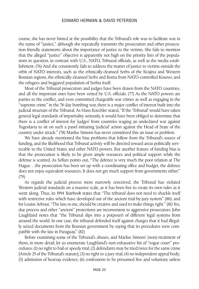course, she has never hinted at the possibility that the Tribunal's role was to facilitate war in the name of "justice," although she repeatedly transmits the prosecution and other prosecution-friendly statements about the importance of justice to the victims. She fails to mention that the alleged "justice" objective is apparently not high on the priority lists of the populations in question, in contrast with U.S., NATO, Tribunal officials, as well as the media establishment. (76) And she consistently fails to address the matter of justice to victims outside the orbit of NATO interests, such as the ethnically-cleansed Serbs of the Krajina and Western Bosnian regions, the ethnically-cleansed Serbs and Roma from NATO-controlled Kosovo, and the refugees and beggared population of Serbia itself.

Most of the Tribunal prosecutors and judges have been drawn from the NATO countries, and all the important ones have been vetted by U.S. officials. (77) As the NATO powers are parties to the conflict, and even committed chargeable war crimes as well as engaging in the "supreme crime" in the 78-day bombing war, there is a major conflict of interest built into the judicial structure of the Tribunal. As Hans Koechler stated, "If the 'Tribunal' would have taken general legal standards of impartiality seriously, it would have been obliged to determine that there is a conflict of interest for 'judges' from countries waging an undeclared war against Yugoslavia to sit on such a panel initiating 'judicial' action against the Head of State of the country under attack." (78) Marlise Simons has never considered this an issue or problem.

We have already mentioned the bias problems that follow from the Tribunal's source of funding, and the likelihood that Tribunal activity will be directed toward areas politically serviceable to the United States and other NATO powers. But another feature of funding bias is that the prosecution is likely to be given ample resources and political support while the defense is scanted. As Sellars points out, "The defence is very much the poor relation at The Hague…the prosecution has been set up with a coordinating office and budget, the defence does not enjoy equivalent resources. It does not get much support from governments either." (79)

As regards the judicial process more narrowly conceived, the Tribunal has violated Western judicial standards on a massive scale, as it has been free to create its own rules as it went along. Thus, its 1994 *Yearbook* states that "The tribunal does not need to shackle itself with restrictive rules which have developed out of the ancient trial-by-jury system" (80); and for Louise Arbour, "The law, to me, should be creative and used to make things right." (81) Yes, due process and other "ancient" protections are inconvenient to aggressive prosecutors. John Laughland notes that "the Tribunal dips into a potpourri of different legal systems from around the world. In one case, the tribunal defended itself against charges that it had illegally seized documents from the Bosnian government by saying that its procedures were compatible with the law in Paraguay." (82)

Before examining some of the Tribunal's abuses, and Marlise Simons' (non)-treatment of them, in more detail, let us enumerate Laughland's non-exhaustive list of "rogue court" procedures: (1) no right to bail or speedy trial; (2) defendants may be tried twice for the same crime [Article 25 of the Tribunal's statute]; (3) no right to a jury trial; (4) no independent appeal body; (5) admission of hearsay evidence; (6) confessions to be presumed free and voluntary unless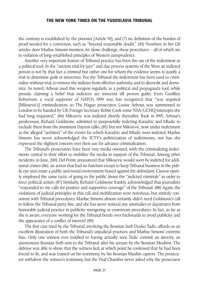the contrary is established by the prisoner [Article 92]; and (7) no definition of the burden of proof needed for a conviction, such as "beyond reasonable doubt." (83) Nowhere in her 120 articles does Marlise Simons mention, let alone challenge, these procedures – all of which are in violation of long-established principles of Western jurisprudence.

Another very important feature of Tribunal practice has been the use of the indictment as a political tool. In the "ancient trial-by-jury" and due process systems of the West an indicted person is not by that fact a criminal but rather one for whom the evidence seems to justify a trial to determine guilt or innocence. For the Tribunal the indictment has been used to criminalize without trial, to remove the indictee from effective authority, and to discredit and demonize. As noted, Arbour used this weapon regularly as a political and propaganda tool, while piously claiming a belief that indictees are innocent till proven guilty. Even Geoffrey Robertson, a vocal supporter of NATO's 1999 war, has recognized that "war required [Milosevic's] criminalisation, so The Hague prosecutor, Louise Arbour, was summoned to London to be handed by UK Foreign Secretary Robin Cook some NSA/GCHQ intercepts she had long requested." (84) Milosevic was indicted shortly thereafter. Back in 1995, Arbour's predecessor, Richard Goldstone, admitted to purposefully indicting Karadzic and Mladic to exclude them from the imminent Dayton talks, (85) but not Milosevic, now under indictment as the alleged "architect" of the events for which Karadzic and Mladic were indicted. Marlise Simons has never acknowledged the ICTY's politicization of indictments, nor has she expressed the slightest concern over their use for advance criminalization.

The Tribunal's prosecutors have been very media oriented, with the criminalizing indictments central to their effort to mobilize the media in support of the Tribunal. Among other incidents, in June, 2001, Del Ponte announced that Milosevic would soon be indicted for additional crimes (86), an action that had no function except to keep Tribunal business in the public eye and create a public and moral environment biased against the defendant. Cassese openly employed the same tactic of going to the public about the "indicted criminals" in order to force political action. (87) Similarly, Richard Goldstone frankly acknowledged that journalists "responded to my calls for positive and supportive coverage" of the Tribunal. (88) Again, the violations of judicial principles in this call and mobilization were notorious, but entirely consistent with Tribunal procedures. Marlise Simons almost certainly didn't need Goldstone's call to follow the Tribunal party line, and she has never noticed any anomalies or departures from honorable judicial practice in publicity mongering or courtroom procedures. In fact, as far as she is aware, everyone working for the Tribunal bends over backwards to avoid publicity and the appearance of a conflict of interest! (89)

The first case tried by the Tribunal, involving the Bosnian Serb Dusko Tadic, affords us an excellent illustration of both the Tribunal's unjudicial practices and Marlise Simons' extreme bias. Only one witness ever testified to having actually seen Tadic commit an atrocity, an anonymous Bosnian Serb sent to the Tribunal after his seizure by the Bosnian Muslims. The defense was able to show that the witness lied, at which point he confessed that he had been forced to lie, and was trained on his testimony, by his Bosnian Muslim captors. The prosecutor withdrew the witness's testimony, but the Trial Chamber never asked why the prosecutor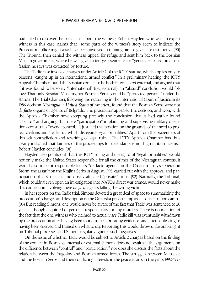had failed to discover the basic facts about the witness; Robert Hayden, who was an expert witness in this case, claims that "some parts of the witness's story seem to indicate the Prosecutor's office might also have been involved in training him to give false testimony." (90) The Tribunal then denied the witness' appeal for refuge and sent him back to the Bosnian Muslim government, where he was given a ten-year sentence for "genocide" based on a confession he says was extracted by torture.

The Tadic case involved charges under Article 2 of the ICTY statute, which applies only to persons "caught up in an international armed conflict." In a preliminary hearing, the ICTY Appeals Chamber found the Bosnian conflict to be both internal *and* external,and argued that if it was found to be solely "international" (i.e., external), an "absurd" conclusion would follow: That only Bosnian Muslims, not Bosnian Serbs, could be "protected persons" under the statute. The Trial Chamber, following the reasoning in the International Court of Justice in its 1986 decision *Nicaragua v. United States of America.*, found that the Bosnian Serbs were not *de facto* organs or agents of Belgrade. The prosecutor appealed the decision, and won, with the Appeals Chamber now accepting precisely the conclusion that it had earlier found "absurd," and arguing that mere "participation" in planning and supervising military operations constitutes "overall control." It justified this position on the grounds of the need to protect civilians and "realism…which disregards legal formalities." Apart from the brazenness of this self-contradiction and rewriting of legal rules, "The ICTY Appeals Chamber has thus clearly indicated that fairness of the proceedings for defendants is not high in its concerns," Robert Hayden concludes. (91)

Hayden also points out that this ICTY ruling and disregard of "legal formalities" would not only make the United States responsible for all the crimes of the Nicaraguan contras, it would also make it responsible for its "de facto agents" in the Croatian army's Operation Storm, the assault on the Krajina Serbs in August, 1995, carried out with the approval and participation of U.S. officials and closely affiliated "private" firms. (92) Naturally, the Tribunal, which couldn't even open an investigation into NATO's direct war crimes, would never make this connection involving mere *de facto* agents killing the wrong victims.

In her reports on the Tadic trial, Simons devoted a great deal of space to summarizing the prosecution's charges and description of the Omarska prison camp as a "concentration camp." (93) But reading Simons, one would never be aware of the fact that Tadic was sentenced to 20 years, although acquitted of personal responsibility for any murders. There is no mention of the fact that the one witness who claimed to actually *see* Tadic kill was eventually withdrawn by the prosecution after having been found to be fabricating evidence, and after confessing to having been coerced and trained on what to say. Reporting this would throw unfavorable light on Tribunal processes, and Simons regularly ignores such negatives.

On the issue of whether Tadic would be subject to Article 2 charges based on the finding of the conflict in Bosnia as internal or external, Simons does not evaluate the arguments on the difference between "control" and "participation," nor does she discuss the facts about the relation between the Yugoslav and Bosnian armed forces. The struggles between Milosevic and the Bosnian Serbs and their conflicting interests in the peace efforts in the years 1992-1995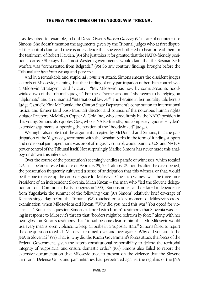– as described, for example, in Lord David Owen's *Balkan Odyssey* (94) – are of no interest to Simons. She doesn't mention the arguments given by the Tribunal judges who at first disputed the control claim, and there is no evidence that she ever bothered to hear or read them or the testimony of Robert Hayden.(95) She just takes it for granted that the NATO-friendly position is correct: She says that "most Western governments" would claim that the Bosnian Serb warfare was "orchestrated from Belgrade." (96) So any contrary findings brought before the Tribunal are *ipso facto* wrong and perverse.

And in a remarkable and stupid *ad hominem* attack, Simons smears the dissident judges as tools of Milosevic, claiming that their finding of only participation rather than control was a Milosevic "stratagem" and "victory": "Mr. Milosevic has now by some accounts hoodwinked two of the tribunal's judges." For these "some accounts" she seems to be relying on "diplomats" and an unnamed "international lawyer." The heroine in her morality tale here is Judge Gabrielle Kirk McDonald, the Clinton State Department's contribution to international justice, and former (and post-Tribunal) director and counsel of the notorious human rights violator Freeport-McMoRan Copper & Gold Inc., who stood firmly by the NATO position in this voting. Simons also quotes Gow, who is NATO-friendly, but completely ignores Hayden's extensive arguments supporting the position of the "hoodwinked" judges.

We might also note that the argument accepted by McDonald and Simons, that the participation of the Yugoslav government with the Bosnian Serbs in the form of funding support and occasional joint operations was proof of Yugoslav control, would point to U.S. and NATOpower control of the Tribunal itself.Not surprisingly Marlise Simons has never made this analogy or drawn this inference.

Over the course of the prosecution's seemingly endless parade of witnesses, which totaled 296 in all before it rested its case on February 25, 2004, almost 25 months after the case opened, the prosecution frequently cultivated a sense of anticipation that this witness, or that, would be the one to serve up the coup-de-grace for Milosevic. One such witness was the three-time President of an independent Slovenia, Milan Kucan – the man who "led the Slovene delegation out of a Communist Party congress in 1990," Simons notes, and declared independence from Yugoslavia the summer of the following year. (97) Simons' relatively brief coverage of Kucan's single day before the Tribunal (98) touched on a key moment of Milosevic's crossexamination, when Milosevic asked Kucan, "Why did you need this war? You opted for violence…." But such a question Simons balanced with Kucan's testimony that Slovenia was acting in response to Milosevic's threats that "borders might be redrawn by force," along with her own gloss on Kucan's testimony that "it had become clear to him that Mr. Milosevic would use every means, even violence, to keep all Serbs in a Yugoslav state." Simons failed to report the one question to which Milosevic returned, over and over again: "Why did you attack the JNA in Slovenia?" (99) That is, why did the Kucan Government's forces attack the forces of the Federal Government, given the latter's constitutional responsibility to defend the territorial integrity of Yugoslavia, and ensure domestic order? (100) Simons also failed to report the extensive documentation that Milosevic tried to present on the violence that the Slovene Territorial Defense Units and paramilitaries had perpetrated against the regulars of the JNA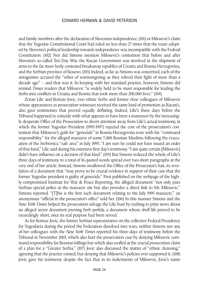and family members after the declaration of Slovenian independence, (101) or Milosevic's claim that the Yugoslav Constitutional Court had ruled no less than 27 times that the route adopted by Slovenia's political leadership towards independence was incompatible with the Federal Constitution. (102) Nor did Simons mention Milosevic's contention that before and after Slovenia's so-called Ten Day War, the Kucan Government was involved in the shipment of arms to the far more hotly contested breakaway republics of Croatia and Bosnia-Herzegovina, and the Serbian province of Kosovo. (103) Indeed, as far as Simons was concerned, each of the antagonists accused the "other of warmongering as they relived their fight of more than a decade ago" – and that was it. In keeping with her standard practice, however, Simons did remind *Times* readers that Milosevic "is widely held to be most responsible for leading the Serbs into conflicts in Croatia and Bosnia that took more than 200,000 lives." (104)

Zoran Lilic and Borisav Jovic, two ethnic Serbs and former close colleagues of Milosevic whose appearances as prosecution witnesses received the same kind of promotion as Kucan's, also gave testimonies that proved equally deflating. Indeed, Lilic's three days before the Tribunal happened to coincide with what appears to have been a maneuver by the increasingly desperate Office of the Prosecution to divert attention away from Lilic's actual testimony, in which the former Yugoslav President (1993-1997) rejected the core of the prosecution's contention that Milosevic's guilt for "genocide" in Bosnia-Herzegovina rests with his "command responsibility" for the alleged massacre of some 7,000 Bosnian Muslims following the evacuation of the Srebrenica "safe area" in July 1995. "I am sure he could not have issued an order of that kind," Lilic said during his extensive first day's testimony."I am quite certain [Milosevic] didn't have influence on a decision of that kind." (105) But Simons reduced the whole of Lilic's three days of testimony to a total of 16 quoted words spread over two short paragraphs at the very end of her article. Instead, Simons swallowed the Office of the Prosecutor's bait, its revelation of a document that "may prove to be crucial evidence in support of their case that the former Yugoslav president is guilty of genocide." First published on the webpage of the highly-compromised Institute for War & Peace Reporting, the alleged document "not only puts Serbian special police at the massacre site but also provides a direct link to Mr. Milosevic," Simons reported. "[T]his is the first such document relating to the July 1995 massacre," an anonymous "official in the prosecutor's office" told her. (106) In this manner Simons and the *New York Times* helped the prosecution salvage the Lilic bust by rushing to print news about an alleged secret document proving Serb perfidy, a document whose shelf life proved to be exceedingly short, once its real purpose had been served.

As for Borisav Jovic, the former Serbian representative on the collective Federal Presidency for Yugoslavia during the period the Federation dissolved into wars, neither Simons nor any of her colleagues with the *New York Times* reported his three-days of testimony before the Tribunal in November 2003, which also hurt the prosecution case by denying Milosevic command responsibility for Bosnian killings but which also scoffed at the crucial prosecution claim of a plan for a "Greater Serbia." (107) Jovic also discussed the matter of "ethnic cleansing," agreeing that the practice existed, but denying that Milosevic's policies ever supported it. (108) Jovic gave his testimony despite the fact that in its indictments of Milosevic, Jovic's name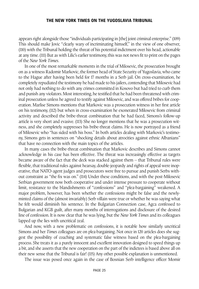appears right alongside those "individuals participating in [the] joint criminal enterprise." (109) This should make Jovic "clearly wary of incriminating himself," in the view of one observer, (110) with the Tribunal holding the threat of his potential indictment over his head, actionable at any time. (111) But as with Lilic's earlier testimony, this was not news fit to print on the pages of the *New York Times*.

In one of the most remarkable moments in the trial of Milosevic, the prosecution brought on as a witness Radomir Markovic, the former head of State Security of Yugoslavia, who came to the Hague after having been held for 17 months in a Serb jail. On cross-examination, he completely repudiated the testimony he had made to his jailers, contending that Milosevic had not only had nothing to do with any crimes committed in Kosovo but had tried to curb them and punish any violators. Most interesting, he testified that he had been threatened with criminal prosecution unless he agreed to testify against Milosevic, and was offered bribes for cooperation. Marlise Simons mentions that Markovic was a prosecution witness in her first article on his testimony, (112) but when in cross-examination he exonerated Milosevic from criminal activity and described the bribe-threat combination that he had faced, Simons's follow-up article is very short and evasive. (113) She no longer mentions that he was a prosecution witness, and she completely suppresses his bribe-threat claims. He is now portrayed as a friend of Milosevic who "has sided with his boss." In both articles dealing with Markovic's testimony, Simons gets in sentences on "shocking details about atrocities against ethnic Albanians" that have no connection with the main topics of the articles.

In many cases the bribe-threat combination that Markovic describes and Simons cannot acknowledge in his case has been effective. The threat was increasingly effective as targets became aware of the fact that the deck was stacked against them – that Tribunal rules were flexible, that traditional rules against hearsay, double-jeopardy and rights of appeal were inoperative, that NATO-agent judges and prosecutors were free to pursue and punish Serbs without constraint as "the fix was on." (114) Under these conditions, and with the post-Milosevic Serbian government now both cooperative and under intense pressure to cooperate without limit, resistance to the blandishments of "confessions" and "plea-bargaining" weakened. A major problem, however, has been whether the confessions might be false and the newlyminted claims of the (almost invariably) Serb villain were true or whether he was saying what he felt would diminish his sentence. In the Bulgarian Connection case, Agca confessed to Bulgarian and KGB guilt, after many months of interrogations and disclosure of the desired line of confession. It is now clear that he was lying, but the *New York Times* and its colleagues lapped up the lies with uncritical zeal.

And now, with a new problematic on confessions, it is notable how similarly uncritical Simons and her *Times* colleagues are on plea-bargaining. Not once in 120 articles does she suggest the possibility of coaching and systematic false witness based on the plea-bargaining process. She treats it as a purely innocent and excellent innovation designed to speed things up a bit, and she asserts that the new cooperation on the part of the indictees is based above all on their new sense that the Tribunal is fair! (115) Any other possible explanation is unmentioned.

The issue was posed once again in the case of Bosnian Serb intelligence officer Momir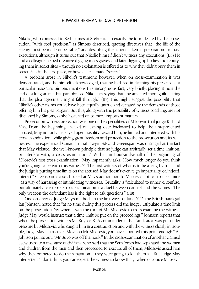Nikolic, who confessed to Serb crimes at Srebrenica in exactly the form desired by the prosecution: "with cool precision," as Simons described, quoting directives that "the life of the enemy must be made unbearable," and describing the actions taken in preparation for mass executions, although it turns out that Nikolic himself didn't witness any executions. (116) He and a colleague helped organize digging mass graves, and later digging up bodies and reburying them in secret sites – though no explanation is offered as to why they didn't bury them in secret sites in the first place, or how a site is made "secret."

A problem arose in Nikolic's testimony, however, when on cross-examination it was demonstrated, and he himself acknowledged, that he had lied in claiming his presence at a particular massacre. Simons mentions this incongruous fact, very briefly, placing it near the end of a long article that paraphrased Nikolic as saying that "he accepted more guilt, fearing that the plea agreement might fall through." (117) This might suggest the possibility that Nikolic's other claims could have been equally untrue and dictated by the demands of those offering him his plea bargain. But this, along with the possibility of witness coaching, are not discussed by Simons, as she hastened on to more important matters.

Prosecution witness protection was one of the specialities of Milosevic trial judge Richard May. From the beginning, instead of leaning over backward to help the unrepresented accused, May not only displayed open hostility toward him, he limited and interfered with his cross-examination, while giving great freedom and protection to the prosecution and its witnesses. The experienced Canadian trial lawyer Edward Greenspan was outraged at the fact that May violated "the well-known principle that no judge can arbitrarily set a time limit on, or interfere with, a cross examination." Within an hour-and-a-half of the beginning of Milosevic's first cross-examination, "May impatiently asks: 'How much longer do you think you're going to be with this witness'?...The first witness of what is to be a lengthy trial, and the judge is putting time limits on the accused. May doesn't even feign impartiality, or, indeed, interest." Greenspan is also shocked at May's admonition to Milosevic not to cross-examine "as a way of harassing or intimidating witnesses." Brutality is "calculated to unnerve, confuse, but ultimately to expose. Cross-examination is a duel between counsel and the witness. The only weapon the defendant has is the right to ask questions." (118)

One observer of Judge May's methods in the first week of June 2002, the British paralegal Ian Johnson, noted that "at no time during this process did the judge…stipulate a time limit on the prosecution. Yet when it was the turn of Mr. Milosevic to cross-examine the witness, Judge May would instruct that a time limit be put on the proceedings." Johnson reports that when the prosecution witness Mr. Buyo, a KLA commander in the Racak area, was put under pressure by Milosevic, who caught him in a contradiction and with the witness clearly in trouble, Judge May instructed: "Move on Mr Milosevic, you have laboured this point enough." As Johnson points out, "Mr Buyo was off the hook." In the cross-examination of another claimed eyewitness to a massacre of civilians, who said that the Serb forces had separated the women and children from the men and then proceeded to execute all of them, Milosevic asked him why they bothered to do the separation if they were going to kill them all. But Judge May interjected: "I don't think you can expect the witness to know that," when of course Milosevic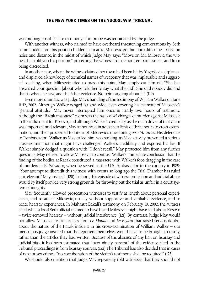was probing possible false testimony. This probe was terminated by the judge.

With another witness, who claimed to have overheard threatening conversations by Serb commanders from his position hidden in an attic, Milosevic got him into difficulties based on noise and distance, in the midst of which Judge May says: "Move on Mr. Milosevic, the witness has told you his position," protecting the witness from serious embarrassment and from being discredited.

In another case, where the witness claimed her town had been hit by Yugoslavia airplanes, and displayed a knowledge of technical names of weaponry that was implausible and suggested coaching, when Milosevic tried to press this point, May simply cut him off: "She has answered your question [about who told her to say what she did]. She said nobody did and that is what she saw, and that's her evidence. No point arguing about it." (119)

Even more dramatic was Judge May's handling of the testimony of William Walker on June 11-12, 2002. Although Walker ranged far and wide, even covering his estimate of Milosevic's "general attitude," May never interrupted him once in nearly two hours of testimony. Although the "Racak massacre" claim was the basis of 45 charges of murder against Milosevic in the indictment for Kosovo, and although Walker's credibility as the main driver of that claim was important and relevant, May announced in advance a limit of three hours to cross-examination, and then proceeded to interrupt Milosevic's questioning *over 70 times*. His deference to "Ambassador" Walker, as May called him, was striking, as May actively prevented a serious cross-examination that might have challenged Walker's credibility and exposed his lies. If Walker simply dodged a question with "I don't recall," May protected him from any further questions. May refused to allow Milosevic to contrast Walker's immediate conclusion that the finding of the bodies at Racak constituted a massacre with Walker's foot-dragging in the case of murders in El Salvador, when he served as the U.S. Ambassador to the country in 1989: "Your attempt to discredit this witness with events so long ago the Trial Chamber has ruled as irrelevant," May insisted. (120) In short, this episode of witness protection and judicial abuse would by itself provide very strong grounds for throwing out the trial as unfair in a court system of integrity.

May frequently allowed prosecution witnesses to testify at length about personal experiences, and to attack Milosevic, usually without supportive and verifiable evidence, and to recite hearsay experiences. In Mahmut Bakali's testimony on February 18, 2002, the witness cited what a local Serb official claimed to have heard Milosevic might have said about Kosovo – twice-removed hearsay – without judicial interference. (121). By contrast, Judge May would not allow Milosevic to cite articles from *Le Monde* and *Le Figaro* that raised serious doubts about the nature of the Racak incident in his cross-examination of William Walker – our meticulous judge insisted that the reporters themselves would have to be brought to testify, rather than the articles they had written. Because of the absence of any ban on hearsay, and judicial bias, it has been estimated that "over ninety percent" of the evidence cited in the Tribunal proceedings is from hearsay sources. (122) The Tribunal has also decided that in cases of rape or sex crimes, "no corroboration of the victim's testimony shall be required." (123)

We should also mention that Judge May repeatedly told witnesses that they should not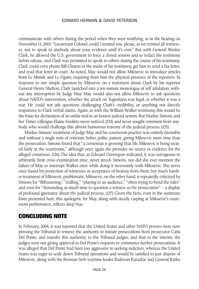communicate with others during the period when they were testifying, as in the hearing on November 13, 2003: "Lieutenant Colonel, could I remind you, please, as we remind all witnesses, not to speak to anybody about your evidence until it's over." But with General Wesley Clark, he allowed the U.S. government to force a closed session and to redact the testimony before release, and Clark was permitted to speak to others during the course of his testimony. Clark could even phone Bill Clinton in the midst of his testimony, get him to send a fax letter, and read that letter in court. As noted, May would not allow Milosevic to introduce articles from *Le Monde* and *Le Figaro*, requiring from him the physical presence of the reporters. In response to one simple question by Milosevic on a statement about Clark by his superior General Henry Shelton, Clark launched into a ten minute monologue of self adulation, without any interruption by Judge May. May would also not allow Milosevic to ask questions about NATO's intervention, whether the attack on Yugoslavia was legal, or whether it was a war. He could not ask questions challenging Clark's credibility, or anything not directly responsive to Clark verbal claims. Again, as with the William Walker testimony, this would be the basis for declaration of an unfair trial in an honest judicial system. But Marlise Simons and her *Times* colleague Elaine Sciolino never noticed, (124) and never sought comment from anybody who would challenge this almost humorous travesty of the judicial process. (125)

Marlise Simons' treatment of Judge May and his courtroom practice was entirely favorable and without a single note of criticism. Sober, polite, patient, giving Milosevic more time than the prosecution. Simons found that "a consensus is growing that Mr. Milosevic is being treated fairly in the courtroom," although once again she provides no source or evidence for the alleged consensus. (126) The idea that, as Edward Greenspan indicated, it was outrageous to arbitrarily limit cross-examination time, never struck Simons, nor did she ever mention the failure of May to interrupt Walker once while doing it incessantly with Milosevic. She never once found his protection of witnesses or acceptance of hearsay from them, but much harsher treatment of Milosevic, problematic. Milosevic, on the other hand, is repeatedly criticized by Simons for "filibustering," "stalling," "playing to an audience," "often trying to bend the rules" and even for "demanding as much time to question a witness as the prosecution" – a display of profound ignorance about the judicial process. (127) Given the facts, even in the summary form presented here, this apologetic for May, along with steady carping at Milosevic's courtroom performance, reflects deep bias.

#### CONCLUDING NOTE

In February, 2004, it was reported that the United States and other NATO powers were now pressing the Tribunal to remove the authority to initiate prosecutions from prosecutor Carla Del Ponte, and transfer this authority to the Tribunal judges; and that in the interim, the judges were not giving approval to Del Ponte's requests to commence further prosecutions. It was alleged that Del Ponte had been too aggressive in seeking indictees, whereas the United States was eager to scale down Tribunal operations and would be satisfied to just dispose of Milosevic, along with the Bosnian Serb wartime leader Radovan Karadzic and General Ratko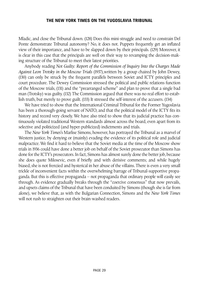Mladic, and close the Tribunal down. (128) Does this mini-struggle and need to constrain Del Ponte demonstrate Tribunal autonomy? No, it does not. Puppets frequently get an inflated view of their importance, and have to be slapped down by their principals. (129) Moreover, it is clear in this case that the principals are well on their way to revamping the decision-making structure of the Tribunal to meet their latest priorities.

Anybody reading *Not Guilty: Report of the Commission of Inquiry Into the Charges Made Against Leon Trotsky in the Moscow Trials* (1937),written by a group chaired by John Dewey, (130) can only be struck by the frequent parallels between Soviet and ICTY principles and court procedure. The Dewey Commission stressed the political and public relations function of the Moscow trials, (131) and the "prearranged scheme" and plan to prove that a single bad man (Trotsky) was guilty. (132) The Commission argued that there was no real effort to establish truth, but merely to prove guilt. (133) It stressed the self-interest of the accusers. (134)

We have tried to show that the International Criminal Tribunal for the Former Yugoslavia has been a thorough-going servant of NATO, and that the political model of the ICTY fits its history and record very closely. We have also tried to show that its judicial practice has continuously violated traditional Western standards almost across the board, even apart from its selective and politicized (and hyper-publicized) indictments and trials.

The *New York Times*'s Marlise Simons, however, has portrayed the Tribunal as a marvel of Western justice, by denying or (mainly) evading the evidence of its political role and judicial malpractice. We find it hard to believe that the Soviet media at the time of the Moscow show trials in 1936 could have done a better job on behalf of the Soviet prosecutor than Simons has done for the ICTY's prosecutors. In fact, Simons has almost surely done the better job, because she does quote Milosevic, even if briefly and with derisive comments; and while hugely biased, she is not frenzied and hysterical in her abuse of the villains. There is even a very small trickle of inconvenient facts within the overwhelming barrage of Tribunal-supportive propaganda. But this is effective propaganda – not propaganda that ordinary people will easily see through. As evidence gradually breaks through the "coercive consensus" that now prevails, and upsets claims of the Tribunal that have been conduited by Simons (though she is far from alone), we believe that, as with the Bulgarian Connection, Simons and the *New York Times* will not rush to straighten out their brain-washed readers.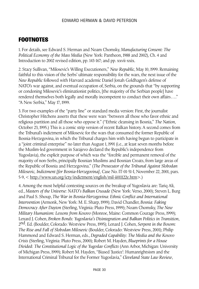#### **FOOTNOTES**

1. For details, see Edward S. Herman and Noam Chomsky, *Manufacturing Consent: The Political Economy of the Mass Media* (New York: Pantheon, 1988 and 2002), Ch. 4 and Introduction to 2002 revised edition, pp. 143-167; and pp. xxvii-xxix.

2. Stacy Sullivan, "Milosevic's Willing Executioners," *New Republic*, May 10, 1999. Remaining faithful to this vision of the Serbs' ultimate responsibility for the wars, the next issue of the *New Republic* followed with Harvard academic Daniel Jonah Goldhagen's defense of NATO's war against, and eventual occupation of, Serbia, on the grounds that "by supporting or condoning Milosevic's eliminationist politics, [the majority of the Serbian people] have rendered themselves both legally and morally incompetent to conduct their own affairs…." "A New Serbia," May 17, 1999.

3. For two examples of the "party line" or standard media version: First, the journalist Christopher Hitchens asserts that these were wars "between all those who favor ethnic and religious partition and all those who oppose it." ("Ethnic cleansing in Bosnia," *The Nation*, October 23, 1995.) This is a comic strip version of recent Balkan history. A second comes from the Tribunal's indictment of Milosevic for the wars that consumed the former Republic of Bosnia-Herzegovina, in which the Tribunal charges him with having begun to participate in a "joint criminal enterprise" no later than August 1, 1991 (i.e., at least seven months before the Muslim-led government in Sarajevo declared the Republic's independence from Yugoslavia), the explicit purpose of which was the "forcible and permanent removal of the majority of non-Serbs, principally Bosnian Muslims and Bosnian Croats, from large areas of the Republic of Bosnia and Herzegovina." (*The Prosecutor of the Tribunal Against Slobodan Milosevic, Indictment [for Bosnia-Herzegovina]*, Case No. IT-01-51-I, November 22, 2001, pars. 5-9, < http://www.un.org/icty/indictment/english/mil-ii011122e.htm>.)

4. Among the most helpful contesting sources on the breakup of Yugoslavia are: Tariq Ali, ed., *Masters of the Universe: NATO's Balkan Crusade* (New York: Verso, 2000); Steven L. Burg and Paul S. Shoup, *The War in Bosnia-Herzegovina: Ethnic Conflict and International Intervention* (Armonk, New York: M. E. Sharp, 1999); David Chandler, *Bosnia: Faking Democracy After Dayton* (Sterling, Virginia: Pluto Press, 1999); Noam Chomsky, *The New Military Humanism: Lessons from Kosovo* (Monroe, Maine: Common Courage Press, 1999); Lenard J. Cohen, *Broken Bonds: Yugoslavia's Disintegration and Balkan Politics in Transition*, 2nd. Ed. (Boulder, Colorado: Westview Press, 1995); Lenard J. Cohen, *Serpent in the Bosom: The Rise and Fall of Slobodan Milosevic* (Boulder, Colorado: Westview Press, 2001); Philip Hammond and Edward S. Herman, eds.,*Degraded Capability: The Media and the Kosovo Crisis* (Sterling, Virginia: Pluto Press, 2000); Robert M. Hayden, *Blueprints for a House Divided: The Constitutional Logic of the Yugoslav Conflicts* (Ann Arbor, Michigan: University of Michigan Press, 1999); Robert M. Hayden, "Biased 'Justice': Humanrightsism and the International Criminal Tribunal for the Former Yugoslavia," *Cleveland State Law Review*,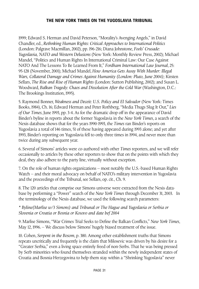1999; Edward S. Herman and David Peterson, "Morality's Avenging Angels," in David Chandler, ed., *Rethnking Human Rights: Critical Approaches to International Politics* (London: Palgrave Macmillan, 2002), pp. 196-216; Diana Johnstone, *Fools' Crusade: Yugoslavia, NATO and Western Delusions* (New York: Monthly Review Press, 2002); Michael Mandel, "Politics and Human Rights In International Criminal Law: Our Case Against NATO And The Lessons To Be Learned From It," *Fordham International Law Journal*, 25: 95-128 (November, 2001); Michael Mandel, *How America Gets Away With Murder: Illegal Wars, Collateral Damage and Crimes Against Humanity (London: Pluto, June 2004);* Kirsten Sellars, *The Rise and Rise of Human Rights* (London: Sutton Publishing, 2002); and Susan L. Woodward, *Balkan Tragedy: Chaos and Dissolution After the Cold War* (Washington, D.C.: The Brookings Institution, 1995).

5. Raymond Bonner, *Weakness and Deceit: U.S. Policy and El Salvador* (New York: Times Books, 1984), Ch. 16; Edward Herman and Peter Rothberg, "Media Thugs Slug It Out*," Lies of Our Times*, June 1993, pp. 3-4. As for the dramatic drop off in the appearance of David Binder's byline in reports about the former Yugoslavia in the *New York Times*, a search of the Nexis database shows that for the years 1990-1993, the *Times* ran Binder's reports on Yugoslavia a total of 146 times, 51 of these having appeared during 1993 alone; and yet after 1993, Binder's reporting on Yugoslavia fell to only three times in 1994, and never more than twice during any subsequent year.

6. Several of Simons' articles were co-authored with other *Times* reporters, and we will refer occasionally to articles by these other reporters to show that on the points with which they deal, they also adhere to the party line, virtually without exception.

7. On the role of human rights organizations – most notably the U.S.-based Human Rights Watch – and their moral advocacy on behalf of NATO's military intervention in Yugoslavia and the proceedings of the Tribunal, see Sellars, op. cit., Ch. 9.

8. The 120 articles that comprise our Simons universe were extracted from the Nexis database by performing a "Power" search of the *New York Times* through December 31, 2003. In the terminology of the Nexis database, we used the following search parameters:

*\* Byline(Marlise w/3 Simons) and Tribunal or The Hague and Yugoslavia or Serbia or Slovenia or Croatia or Bosnia or Kosovo and date bef 2004*

9. Marlise Simons, "War Crimes Trial Seeks to Define the Balkan Conflicts," *New York Times*, May 12, 1996. – We discuss below Simons' hugely biased treatment of the issue.

10. Cohen, *Serpent in the Bosom*, p. 380. Among other establishment truths that Simons repeats uncritically and frequently is the claim that Milosevic was driven by his desire for a "Greater Serbia," even a living space entirely freed of non-Serbs. That he was being pressed by Serb minorities who found themselves stranded within the newly independent states of Croatia and Bosnia-Herzegovina to help them stay within a "Shrinking Yugoslavia" never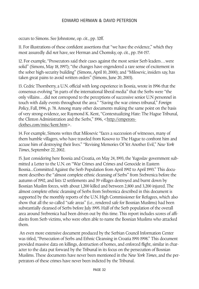occurs to Simons. See Johnstone, op. cit., pp. 32ff.

11. For illustrations of these confident assertions that "we have the evidence," which they most assuredly did *not* have, see Herman and Chomsky, op. cit., pp. 154-157.

12. For example, "Prosecutors said their cases against the most senior Serb leaders…were solid" (Simons, May 18, 1997); "the changes have engendered a rare sense of excitement in the sober high-security building" (Simons, April 10, 2000); and "Milosevic, insiders say, has taken great pains to avoid written orders" (Simons, June 20, 2003).

13. Cedric Thornberry, a U.N. official with long experience in Bosnia, wrote in 1996 that the consensus evolving "in parts of the international liberal media" that the Serbs were "the only villains…did not correspond to the perceptions of successive senior U.N personnel in touch with daily events throughout the area." "Saving the war crimes tribunal," *Foreign Policy*, Fall, 1996, p. 78. Among many other documents making the same point on the basis of very strong evidence, see Raymond K. Kent, "Contextualizing Hate: The Hague Tribunal, the Clinton Administration and the Serbs," 1996, <http://emperorsclothes.com/misc/kent.htm>.

14. For example, Simons writes that Milosevic "faces a succession of witnesses, many of them humble villagers, who have traveled from Kosovo to The Hague to confront him and accuse him of destroying their lives." "Revising Memories Of Yet Another Evil," *New York Times*, September 22, 2002.

15. Just considering here Bosnia and Croatia, on May 24, 1993, the Yugoslav government submitted a Letter to the U.N. on "War Crimes and Crimes and Genocide in Eastern Bosnia...Committed Against the Serb Population from April 1992 to April 1993." This document describes the "almost complete ethnic cleansing of Serbs" from Srebrenica before the autumn of 1992, and lists 12 settlements and 39 villages destroyed and burnt down by Bosnian Muslim forces, with about 1,200 killed and between 2,800 and 3,200 injured. The almost complete ethnic cleansing of Serbs from Srebrenica described in this document is supported by the monthly reports of the U.N. High Commissioner for Refugees, which also show that all the so-called "safe areas" (i.e., rendered safe for Bosnian Muslims) had been substantially cleansed of Serbs before July 1995. Half of the Serb population of the overall area around Srebrenica had been driven out by this time. This report includes scores of affidavits from Serb victims, who were often able to name the Bosnian Muslims who attacked them.

An even more extensive document produced by the Serbian Council Information Center was titled, "Persecution of Serbs and Ethnic Cleansing in Croatia 1991-1998." This document provided massive data on killings, destruction of homes, and enforced flight, similar in character to the data put forward by the Tribunal in its focus on the persecution of Bosnian Muslims. These documents have never been mentioned in the *New York Times*, and the perpetrators of these crimes have never been indicted by the Tribunal.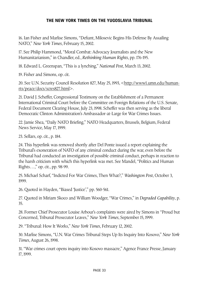16. Ian Fisher and Marlise Simons, "Defiant, Milosevic Begins His Defense By Assailing NATO," *New York Times*, February 15, 2002.

17. See Philip Hammond, "Moral Combat: Advocacy Journalists and the New Humanitarianism," in Chandler, ed., *Rethinking Human Rights*, pp. 176-195.

18. Edward L. Greenspan, "This is a lynching," *National Post*, March 13, 2002.

19. Fisher and Simons, op. cit.

20. See U.N. Security Council Resolution 827, May 25, 1993, <http://www1.umn.edu/humanrts/peace/docs/scres827.html>.

21. David J. Scheffer, Congressional Testimony on the Establishment of a Permanent International Criminal Court before the Committee on Foreign Relations of the U.S. Senate, Federal Document Clearing House, July 23, 1998. Scheffer was then serving as the liberal Democratic Clinton Administration's Ambassador-at-Large for War Crimes Issues.

22. Jamie Shea, "Daily NATO Briefing," NATO Headquarters, Brussels, Belgium, Federal News Service, May 17, 1999.

23. Sellars, op. cit., p. 184.

24. This hyperlink was removed shortly after Del Ponte issued a report explaining the Tribunal's exoneration of NATO of any criminal conduct during the war, even before the Tribunal had conducted an investigation of possible criminal conduct, perhaps in reaction to the harsh criticism with which this hyperlink was met. See Mandel, "Politics and Human Rights…," op. cit., pp. 98-99.

25. Michael Scharf, "Indicted For War Crimes, Then What?," *Washington Post*, October 3, 1999.

26. Quoted in Hayden, "Biased 'Justice'," pp. 560-561.

27. Quoted in Miriam Skoco and William Woodger, "War Crimes," in *Degraded Capability*, p. 35.

28. Former Chief Prosecutor Louise Arbour's complaints were aired by Simons in "Proud but Concerned, Tribunal Prosecutor Leaves," *New York Times*, September 15, 1999.

29. "Tribunal: How It Works," *New York Times*, February 12, 2002.

30. Marlise Simons, "U.N. War Crimes Tribunal Steps Up Its Inquiry Into Kosovo," *New York Times*, August 26, 1998.

31. "War crimes court opens inquiry into Kosovo massacre," Agence France Presse, January 17, 1999.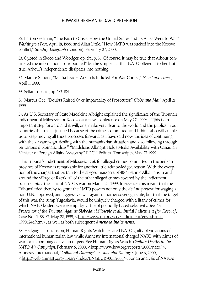32. Barton Gellman, "The Path to Crisis: How the United States and Its Allies Went to War," *Washington Post*, April 18, 1999; and Allan Little, "How NATO was sucked into the Kosovo conflict," *Sunday Telegraph* (London), February 27, 2000.

33. Quoted in Skoco and Woodger, op. cit., p. 35. Of course, it may be true that Arbour considered the information "corroborated" by the simple fact that NATO offered it to her. But if true, Arbour's independence dissipates into nothing.

34. Marlise Simons, "Militia Leader Arkan Is Indicted For War Crimes," *New York Times*, April 1, 1999.

35. Sellars, op. cit., pp. 183-184.

36. Marcus Gee, "Doubts Raised Over Impartiality of Prosecutor," *Globe and Mail*, April 21, 1999.

37. As U.S. Secretary of State Madeleine Albright explained the significance of the Tribunal's indictment of Milosevic for Kosovo at a news conference on May 27, 1999: "[T]his is an important step forward and it will, one, make very clear to the world and the publics in our countries that this is justified because of the crimes committed, and I think also will enable us to keep moving all these processes forward, as I have said now, the idea of continuing with the air campaign, dealing with the humanitarian situation and also following through on various diplomatic ideas." "Madeleine Albright Holds Media Availability with Canadian Minister of Foreign Affairs Axworthy," FDCH Political Transcripts, May 27, 1999.

The Tribunal's indictment of Milosevic *et al*. for alleged crimes committed in the Serbian province of Kosovo is remarkable for another little acknowledged reason: With the exception of the charges that pertain to the alleged massacre of 40-45 ethnic Albanians in and around the village of Racak, all of the other alleged crimes covered by the indictment occurred *after* the start of NATO's war on March 24, 1999. In essence, this meant that the Tribunal tried thereby to grant the NATO powers not only the *de jure* pretext for waging a non-U.N.-approved, and aggressive, war against another sovereign state, but that the target of this war, the rump Yugoslavia, would be uniquely charged with a litany of crimes for which NATO leaders were exempt by virtue of politically-based selectivity. See *The Prosecutor of the Tribunal Against Slobodan Milosevic et al., Initial Indictment [for Kosovo]*, Case No. IT-99-37, May 22, 1999, <http://www.un.org/icty/indictment/english/milii990524e.htm>, as well as both subsequent *Amended Indictments*.

38. Hedging its conclusion, Human Rights Watch declared NATO guilty of violations of international humanitarian law, while Amnesty International charged NATO with crimes of war for its bombing of civilian targets. See Human Rights Watch, *Civilian Deaths in the NATO Air Campaign*, February 6, 2000, <http://www.hrw.org/reports/2000/nato/>; Amnesty International, *"Collateral Damage" or Unlawful Killings?*, June 6, 2000, <http://web.amnesty.org/library/index/ENGEUR700182000>. For an analysis of NATO's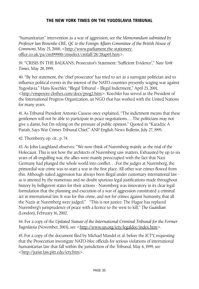"humanitarian" intervention as a war of aggression, see the *Memorandum submitted by Professor Ian Brownlie CBE, QC to the Foreign Affairs Committee of the British House of Commons*, May 23, 2000, <http://www.parliament.the-stationeryoffice.co.uk/pa/cm199900/cmselect/cmfaff/28/28ap03.htm>.

39. "CRISIS IN THE BALKANS; Prosecutor's Statement: 'Sufficient Evidence'," *New York Times*, May 28, 1999.

40. "By her statement, the 'chief prosecutor' has tried to act as a surrogate politician and to influence political events in the interest of the NATO countries presently waging war against Yugoslavia." Hans Koechler, "Illegal Tribunal – Illegal Indictment," April 23, 2001, <http://emperors-clothes.com/docs/prog2.htm>. Koechler has served as the President of the International Progress Organization, an NGO that has worked with the United Nations for many years.

41. As Tribunal President Antonio Cassese once explained, "The indictment means that these gentlemen will not be able to participate in peace negotiations.…The politicians may not give a damn, but I'm relying on the pressure of public opinion." Quoted in "Karadzic A Pariah, Says War Crimes Tribunal Chief," ANP English News Bulletin, July 27, 1995.

42. Thornberry, op. cit., p. 74.

43. As John Laughland observes: "We now think of Nuremberg mainly as the trial of the Holocaust. This is not how the architects of Nuremberg saw matters. Exhausted by up to six years of all-engulfing war, the allies were mainly preoccupied with the fact that Nazi Germany had plunged the whole world into conflict….For the judges at Nuremberg, the primordial war crime was to start a war in the first place. All other war crimes flowed from this. Although naked aggression has always been illegal under customary international law as is attested by the numerous and no doubt spurious legal justifications made throughout history by belligerent states for their actions - Nuremberg was innovatory in its clear legal formulation that the planning and execution of a war of aggression constituted a criminal act in international law. It was for this crime, and not for crimes against humanity, that all the Nazis at Nuremberg were judged." "This is not justice: The Hague has replaced Nuremberg's jurisprudence of peace with a licence to the west to kill," *The Guardian* (London), February 16, 2002.

44. For a copy of the *Updated Statute of the International Criminal Tribunal for the Former Yugoslavia* (November, 2003), see <http://www.un.org/icty/legaldoc/index.htm>.

45. For a copy of the document filed by Michael Mandel et al. before the ICTY, requesting that the Prosecution investigate NATO-bloc officials for serious violations of international humanitarian law that fall within the jurisdiction of the Tribunal, May 6, 1999, see <http://jurist.law.pitt.edu/icty.htm>.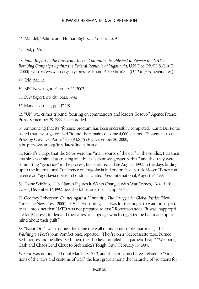46. Mandel, "Politics and Human Rights…," op. cit., p. 95.

47. Ibid, p. 95.

48. *Final Report to the Prosecutor by the Committee Established to Review the NATO Bombing Campaign Against the Federal Republic of Yugoslavia*, U.N Doc. PR/P.I.S./510-E [2000], <http://www.un.org/icty/pressreal/nato061300.htm>. (*OTP Report* hereinafter.)

49. Ibid, par. 53.

50. BBC Newsnight, February 12, 2002.

51.*OTP Report*, op. cit., pars. 59-61.

52. Mandel, op. cit., pp. 117-118.

53. "UN war crimes tribunal focusing on commanders and leaders Kosovo," Agence France Press, September 29, 1999, italics added.

54. Announcing that its "forensic program has been successfully completed," Carla Del Ponte stated that investigators had "found the remains of some 4,000 victims." "Statement to the Press by Carla Del Ponte," FH/P.I.S./550-E, December 20, 2000, <http://www.un.org/icty/latest/index.htm>.

55. Kinkel's charge that the Serbs were the "main source of the evil" in the conflict, that their "ruthless war aimed at creating an ethnically cleansed greater Serbia," and that they were committing "genocide" in the process, first surfaced in late August, 1992, in the days leading up to the International Conference on Yugoslavia in London. See Patrick Moser, "Peace conference on Yugoslavia opens in London," United Press International, August 26, 1992.

56. Elaine Sciolino, "U.S. Names Figures It Wants Charged with War Crimes," *New York Times*, December 17, 1992. See also Johnstone, op. cit., pp. 73-74.

57. Geoffrey Robertson, *Crimes Against Humanity: The Struggle for Global Justice* (New York: The New Press, 2000), p. 301. "Frustrating as it was for the judges to wait for suspects to fall into a net that NATO was not prepared to cast," Robertson adds, "it was inappropriate for [Cassese] to demand their arrest in language which suggested he had made up his mind about their guilt."

58. "Nasir Oric's war trophies don't line the wall of his comfortable apartment," the *Washington Post*'s John Pomfret once reported. "They're on a videocassette tape: burned Serb houses and headless Serb men, their bodies crumpled in a pathetic heap." "Weapons, Cash and Chaos Lend Clout to Srebrenica's Tough Guy," February 16, 1994.

59. Oric was not indicted until March 28, 2003, and then only on charges related to "violations of the laws and customs of war," the least grave among the hierarchy of violations for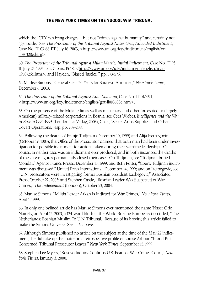which the ICTY can bring charges – but not "crimes against humanity," and certainly not "genocide." See *The Prosecutor of the Tribunal Against Naser Oric, Amended Indictment*, Case No. IT-03-68-PT, July 16, 2003, <http://www.un.org/icty/indictment/english/oriii030328e.htm>.

60. *The Prosecutor of the Tribunal Against Milan Martic, Initial Indictment*, Case No. IT-95- 11, July 25, 1995, par. 7; pars. 15-18, <http://www.un.org/icty/indictment/english/marii950725e.htm>; and Hayden, "Biased 'Justice'," pp. 573-575.

61. Marlise Simons, "General Gets 20 Years for Sarajevo Atrocities," *New York Times*, December 6, 2003.

62. *The Prosecutor of the Tribunal Against Ante Gotovina*, Case No. IT-01/45-I, <http://www.un.org/icty/indictment/english/got-ii010608e.htm>.

63. On the presence of the Mujahedin as well as mercenary and other forces tied to (largely American) military-related corporations in Bosnia, see Cees Wiebes, *Intelligence and the War in Bosnia 1992-1995* (London: Lit Verlag, 2003), Ch. 4, "Secret Arms Supplies and Other Covert Operations," esp. pp. 207-208.

64. Following the deaths of Franjo Tudjman (December 10, 1999) and Alija Izetbegovic (October 19, 1003), the Office of the Prosecutor claimed that both men had been under investigation for possible indictment for actions taken during their wartime leaderships. Of course, in neither case was an indictment ever produced; and in both instances, the deaths of these two figures permanently closed their cases. On Tudjman, see "Tudjman buried Monday," Agence France Presse, December 13, 1999; and Beth Potter, "Court: Tudjman indictment was discussed," United Press International, December 14, 1999; and on Izetbegovic, see "U.N. prosecutors were investigating former Bosnian president Izetbegovic," Associated Press, October 22, 2003; and Stephen Castle, "Bosnian Leader Was Suspected of War Crimes," *The Independent* (London), October 23, 2003.

65. Marlise Simons, "Militia Leader Arkan Is Indicted for War Crimes," *New York Times*, April 1, 1999.

66. In only one bylined article has Marlise Simons ever mentioned the name 'Naser Oric': Namely, on April 12, 2003, a 124-word blurb in the World Briefing Europe section titled, "The Netherlands: Bosnian Muslim To U.N. Tribunal." Because of its brevity, this article failed to make the Simons Universe. See n. 6, above.

67. Although Simons published no article on the subject at the time of the May 22 indictment, she did take up the matter in a retrospective profile of Louise Arbour, "Proud But Concerned, Tribunal Prosecutor Leaves," *New York Times*, September 15, 1999.

68. Stephen Lee Myers, "Kosovo Inquiry Confirms U.S. Fears of War Crimes Court," *New York Times*, January 3, 2000.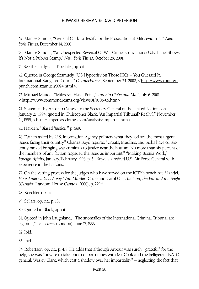69. Marlise Simons, "General Clark to Testify for the Prosecution at Milosevic Trial," *New York Times*, December 14, 2003.

70. Marlise Simons, "An Unexpected Reversal Of War Crimes Convictions: U.N. Panel Shows It's Not a Rubber Stamp," *New York Times*, October 29, 2001.

71. See the analysis in Koechler, op. cit.

72. Quoted in George Szamuely, "US Hypocrisy on Those IKCs – You Guessed It, International Kangaroo Courts," *CounterPunch*, September 24, 2002, <http://www.counterpunch.com.szamuely0924.html>.

73. Michael Mandel, "Milosevic Has a Point," *Toronto Globe and Mail*, July 6, 2001, <http://www.commondreams.org/views01/0706-05.htm>.

74. Statement by Antonio Cassese to the Secretary General of the United Nations on January 21, 1994; quoted in Christopher Black, "An Impartial Tribunal? Really?," November 21, 1999, <http://emperors-clothes.com/analysis/Impartial.htm>.

75. Hayden, "Biased 'Justice'," p. 569.

76. "When asked by U.S. Information Agency pollsters what they feel are the most urgent issues facing their country," Charles Boyd reports, "Croats, Muslims, and Serbs have consistently ranked bringing war criminals to justice near the bottom. No more than six percent of the members of any faction regarded the issue as important." "Making Bosnia Work," *Foreign Affairs*, January/February, 1998, p. 51. Boyd is a retired U.S. Air Force General with experience in the Balkans.

77. On the vetting process for the judges who have served on the ICTY's bench, see Mandel, *How America Gets Away With Murder*, Ch. 4; and Carol Off, *The Lion, the Fox and the Eagle* (Canada: Random House Canada, 2000), p. 279ff.

78. Koechler, op. cit.

79. Sellars, op. cit., p. 186.

80. Quoted in Black, op. cit.

81. Quoted in John Laughland, "'The anomalies of the International Criminal Tribunal are legion...'," *The Times* (London), June 17, 1999.

82. Ibid.

83. Ibid.

84. Robertson, op. cit., p. 418. He adds that although Arbour was surely "grateful" for the help, she was "unwise to take photo opportunities with Mr. Cook and the belligerent NATO general, Wesley Clark, which cast a shadow over her impartiality" – neglecting the fact that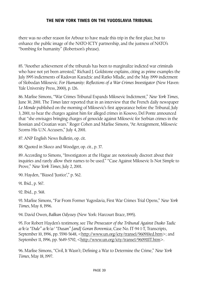there was no other reason for Arbour to have made this trip in the first place, but to enhance the public image of the NATO-ICTY partnership, and the justness of NATO's "bombing for humanity" (Robertson's phrase).

85. "Another achievement of the tribunals has been to marginalize indicted war criminals who have not yet been arrested," Richard J. Goldstone explains, citing as prime examples the July 1995 indictments of Radovan Karadzic and Ratko Mladic, and the May 1999 indictment of Slobodan Milosevic. *For Humanity: Reflections of a War Crimes Investigator* (New Haven: Yale University Press, 2000), p. 126.

86. Marlise Simons, "War Crimes Tribunal Expands Milosevic Indictment," *New York Times*, June 30, 2001. The *Times* later reported that in an interview that the French daily newspaper *Le Monde* published on the morning of Milosevic's first appearance before the Tribunal, July 3, 2001, to hear the charges against him for alleged crimes in Kosovo, Del Ponte announced that "she envisages bringing charges of genocide against Milosevic for Serbian crimes in the Bosnian and Croatian wars." Roger Cohen and Marlise Simons, "At Arraignment, Milosevic Scorns His U.N. Accusers," July 4, 2001.

87. ANP English News Bulletin, op. cit.

88. Quoted in Skoco and Woodger, op. cit., p. 37.

89. According to Simons, "Investigators at the Hague are notoriously discreet about their inquiries and rarely allow their names to be used." "Case Against Milosevic Is Not Simple to Prove," *New York Times*, July 2, 2001.

90. Hayden, "Biased 'Justice'," p. 562.

91. Ibid., p. 567.

92. Ibid., p. 568.

93. Marlise Simons, "Far From Former Yugoslavia, First War Crimes Trial Opens," *New York Times*, May 8, 1996.

94. David Owen, *Balkan Odyssey* (New York: Harcourt Brace, 1995).

95. For Robert Hayden's testimony, see *The Prosecutor of the Tribunal Against Dusko Tadic a/k/a "Dule" a/k/a/ "Dusan" [and] Goran Borovnica*, Case No. IT-94-1-T, Transcripts, September 10, 1996, pp. 5590-5648, <http://www.un.org/icty/transe1/960910ed.htm>; and September 11, 1996, pp. 5649-5792, <http://www.un.org/icty/transe1/960911IT.htm>.

96. Marlise Simons, "Civil, It Wasn't; Defining a War to Determine the Crime," *New York Times*, May 18, 1997.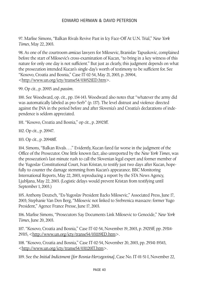97. Marlise Simons, "Balkan Rivals Revive Past in Icy Face-Off At U.N. Trial," *New York Times*, May 22, 2003.

98. As one of the courtroom *amicus* lawyers for Milosevic, Branislav Tapuskovic, complained before the start of Milosevic's cross-examination of Kucan, "to bring in a key witness of this nature for only one day is not sufficient." But just as clearly, this judgment depends on what the prosecution intended Kucan's single-day's worth of testimony to be sufficient for. See "Kosovo, Croatia and Bosnia," Case IT-02-54, May 21, 2003, p. 20904, <http://www.un.org/icty/transe54/030521ED.htm>.

99. Op cit., p. 20915 and *passim*.

100. See Woodward, op. cit., pp. 134-143. Woodward also notes that "whatever the army did was automatically labeled as pro-Serb" (p. 137). The level distrust and violence directed against the JNA in the period before and after Slovenia's and Croatia's declarations of independence is seldom appreciated.

101. "Kosovo, Croatia and Bosnia," op cit., p. 20923ff.

102. Op cit., p. 20947.

103. Op cit., p. 20948ff.

104. Simons, "Balkan Rivals…." Evidently, Kucan fared far worse in the judgment of the Office of the Prosecutor. One little known fact, also unreported by the *New York Times*, was the prosecution's last-minute rush to call the Slovenian legal expert and former member of the Yugoslav Constitutional Court, Ivan Kristan, to testify just two days after Kucan, hopefully to counter the damage stemming from Kucan's appearance. BBC Monitoring International Reports, May 22, 2003, reproducing a report by the STA News Agency, Ljubljana, May 22, 2003. (Logistic delays would prevent Kristan from testifying until September 1, 2003.)

105. Anthony Deutsch, "Ex-Yugoslav President Backs Milosevic," Associated Press, June 17, 2003; Stephanie Van Den Berg, "Milosevic not linked to Srebrenica massacre: former Yugo President," Agence France Presse, June 17, 2003.

106. Marlise Simons, "Prosecutors Say Documents Link Milosevic to Genocide," *New York Times*, June 20, 2003.

107. "Kosovo, Croatia and Bosnia," Case IT-02-54, November 19, 2003, p. 29215ff; pp. 29314- 29315, <http://www.un.org/icty/transe54/031119ED.htm>.

108. "Kosovo, Croatia and Bosnia," Case IT-02-54, November 20, 2003, pp. 29341-19343, <http://www.un.org/icty/transe54/031120IT.htm>.

109. See the *Initial Indictment [for Bosnia-Herzegovina]*, Case No. IT-01-51-I, November 22,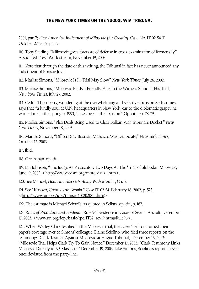2001, par. 7; *First Amended Indictment of Milosevic [for Croatia]*, Case No. IT-02-54-T, October 27, 2002, par. 7.

110. Toby Sterling, "Milosevic gives foretaste of defense in cross-examination of former ally," Associated Press Worldstream, November 19, 2003.

111. Note that through the date of this writing, the Tribunal in fact has never announced any indictment of Borisav Jovic.

112. Marlise Simons, "Milosevic Is Ill; Trial May Slow," *New York Times*, July 26, 2002.

113. Marlise Simons, "Milosevic Finds a Friendly Face In the Witness Stand at His Trial," *New York Times*, July 27, 2002.

114. Cedric Thornberry, wondering at the overwhelming and selective focus on Serb crimes, says that "a kindly soul at U.N. headquarters in New York, ear to the diplomatic grapevine, warned me in the spring of 1993, 'Take cover – the fix is on." Op. cit., pp. 78-79.

115. Marlise Simons, "Plea Deals Being Used to Clear Balkan War Tribunal's Docket," *New York Times*, November 18, 2003.

116. Marlise Simons, "Officers Say Bosnian Massacre Was Deliberate," *New York Times*, October 12, 2003.

117. Ibid.

118. Greenspan, op. cit.

119. Ian Johnson, "The Judge As Prosecutor: Two Days At The 'Trial' of Slobodan Milosevic," June 19, 2002, <http://www.icdsm.org/more/days-i.htm>.

120. See Mandel, *How America Gets Away With Murder*, Ch. 5.

121. See "Kosovo, Croatia and Bosnia," Case IT-02-54, February 18, 2002, p. 523, <http://www.un.org/icty/transe54/020218IT.htm>.

122. The estimate is Michael Scharf's, as quoted in Sellars, op. cit., p. 187.

123. *Rules of Procedure and Evidence*, Rule 96, Evidence in Cases of Sexual Assault, December 17, 2003, <www.un.org/icty/basic/rpe/IT32\_rev19.htm#Rule96>.

124. When Wesley Clark testified in the Milosevic trial, the *Times*'s editors turned their paper's coverage over to Simons' colleague, Elaine Sciolino, who filed three reports on the testimony: "Clark Testifies Against Milosevic at Hague Tribunal," December 16, 2003; "Milosevic Trial Helps Clark Try To Gain Notice," December 17, 2003; "Clark Testimony Links Milosevic Directly to '95 Massacre," December 19, 2003. Like Simons, Sciolino's reports never once deviated from the party-line.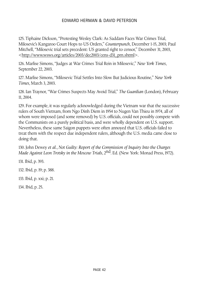125. Tiphaine Dickson, "Protesting Wesley Clark: As Saddam Faces War Crimes Trial, Milosevic's Kangaroo Court Hops to US Orders," *Counterpunch*, December 1-15, 2003; Paul Mitchell, "Milosevic trial sets precedent: US granted right to censor," December 31, 2003, <http://www.wsws.org/articles/2003/dec2003/cens-d31\_prn.shtml>.

126. Marlise Simons, "Judges at War Crimes Trial Rein in Milosevic," *New York Times*, September 22, 2003.

127. Marlise Simons, "Milosevic Trial Settles Into Slow But Judicious Routine," *New York Times*, March 3, 2003.

128. Ian Traynor, "War Crimes Suspects May Avoid Trial," *The Guardian* (London), February 11, 2004.

129. For example, it was regularly acknowledged during the Vietnam war that the successive rulers of South Vietnam, from Ngo Dinh Diem in 1954 to Nugen Van Thieu in 1974, all of whom were imposed (and some removed) by U.S. officials, could not possibly compete with the Communists on a purely political basis, and were wholly dependent on U.S. support. Nevertheless, these same Saigon puppets were often annoyed that U.S. officials failed to treat them with the respect due independent rulers, although the U.S. media came close to doing that.

130. John Dewey *et al*.,*Not Guilty: Report of the Commission of Inquiry Into the Charges Made Against Leon Trotsky in the Moscow Trials*, 2nd. Ed. (New York: Monad Press, 1972).

131. Ibid, p. 393.

132. Ibid, p. 19; p. 388.

133. Ibid, p. xxi; p. 21.

134. Ibid, p. 25.